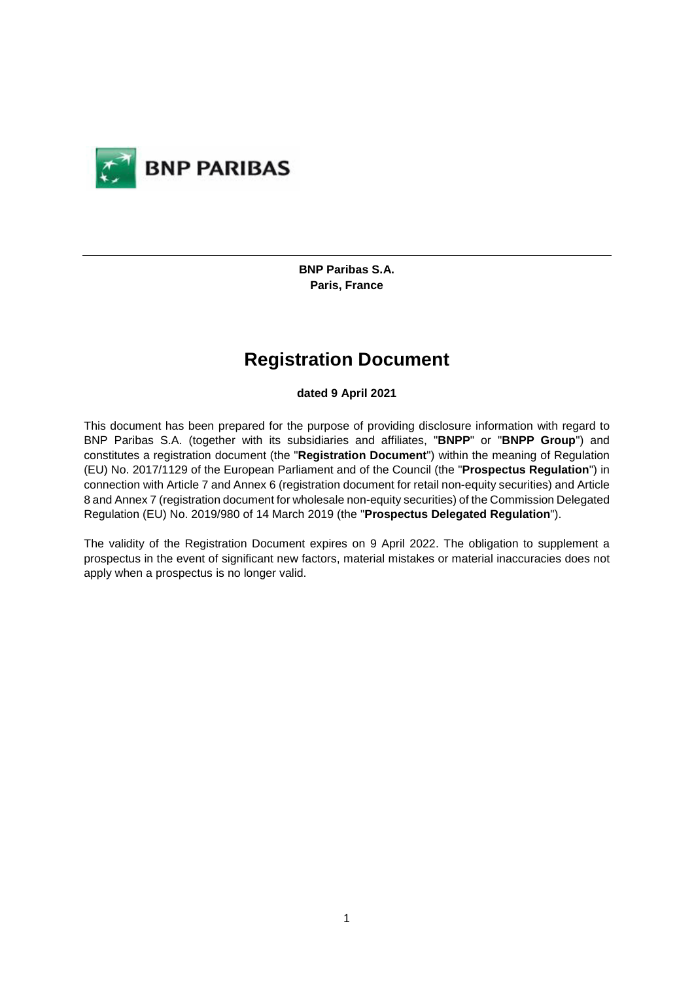

**BNP Paribas S.A. Paris, France** 

# **Registration Document**

### **dated 9 April 2021**

This document has been prepared for the purpose of providing disclosure information with regard to BNP Paribas S.A. (together with its subsidiaries and affiliates, "**BNPP**" or "**BNPP Group**") and constitutes a registration document (the "**Registration Document**") within the meaning of Regulation (EU) No. 2017/1129 of the European Parliament and of the Council (the "**Prospectus Regulation**") in connection with Article 7 and Annex 6 (registration document for retail non-equity securities) and Article 8 and Annex 7 (registration document for wholesale non-equity securities) of the Commission Delegated Regulation (EU) No. 2019/980 of 14 March 2019 (the "**Prospectus Delegated Regulation**").

The validity of the Registration Document expires on 9 April 2022. The obligation to supplement a prospectus in the event of significant new factors, material mistakes or material inaccuracies does not apply when a prospectus is no longer valid.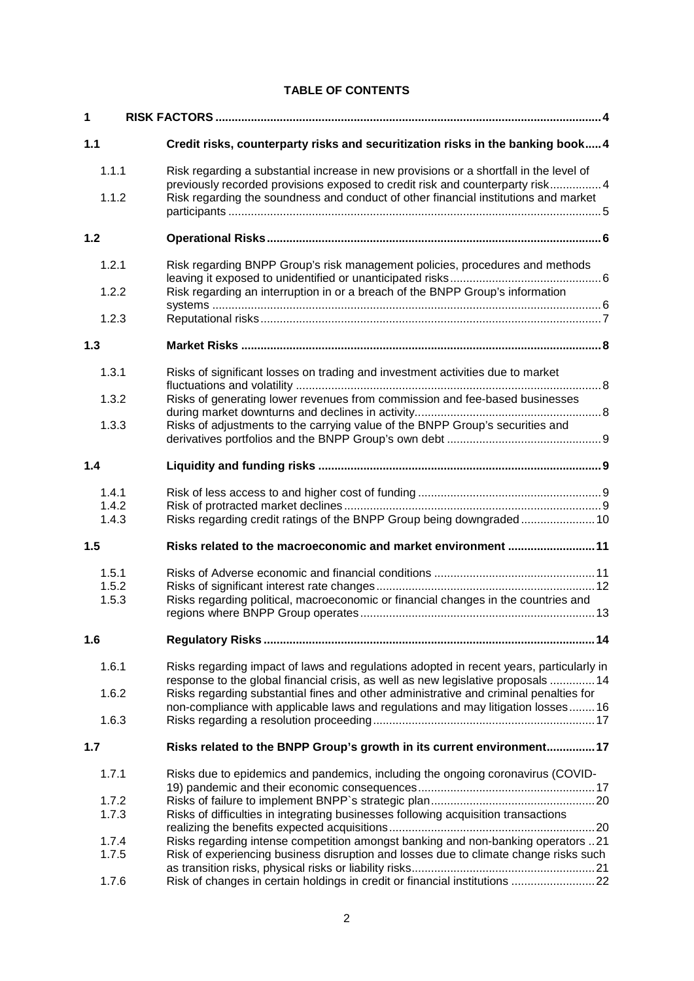## **TABLE OF CONTENTS**

| 1                       |                                                                                                                                                                              |  |  |
|-------------------------|------------------------------------------------------------------------------------------------------------------------------------------------------------------------------|--|--|
| 1.1                     | Credit risks, counterparty risks and securitization risks in the banking book 4                                                                                              |  |  |
| 1.1.1                   | Risk regarding a substantial increase in new provisions or a shortfall in the level of<br>previously recorded provisions exposed to credit risk and counterparty risk 4      |  |  |
| 1.1.2                   | Risk regarding the soundness and conduct of other financial institutions and market                                                                                          |  |  |
| 1.2                     |                                                                                                                                                                              |  |  |
| 1.2.1                   | Risk regarding BNPP Group's risk management policies, procedures and methods                                                                                                 |  |  |
| 1.2.2                   | Risk regarding an interruption in or a breach of the BNPP Group's information                                                                                                |  |  |
| 1.2.3                   |                                                                                                                                                                              |  |  |
| 1.3                     |                                                                                                                                                                              |  |  |
| 1.3.1                   | Risks of significant losses on trading and investment activities due to market                                                                                               |  |  |
| 1.3.2                   | Risks of generating lower revenues from commission and fee-based businesses                                                                                                  |  |  |
| 1.3.3                   | Risks of adjustments to the carrying value of the BNPP Group's securities and                                                                                                |  |  |
| 1.4                     |                                                                                                                                                                              |  |  |
| 1.4.1<br>1.4.2<br>1.4.3 | Risks regarding credit ratings of the BNPP Group being downgraded 10                                                                                                         |  |  |
| 1.5                     | Risks related to the macroeconomic and market environment 11                                                                                                                 |  |  |
| 1.5.1<br>1.5.2<br>1.5.3 | Risks regarding political, macroeconomic or financial changes in the countries and                                                                                           |  |  |
| 1.6                     |                                                                                                                                                                              |  |  |
| 1.6.1                   | Risks regarding impact of laws and regulations adopted in recent years, particularly in<br>response to the global financial crisis, as well as new legislative proposals  14 |  |  |
| 1.6.2                   | Risks regarding substantial fines and other administrative and criminal penalties for<br>non-compliance with applicable laws and regulations and may litigation losses16     |  |  |
| 1.6.3                   |                                                                                                                                                                              |  |  |
| 1.7                     | Risks related to the BNPP Group's growth in its current environment 17                                                                                                       |  |  |
| 1.7.1                   | Risks due to epidemics and pandemics, including the ongoing coronavirus (COVID-                                                                                              |  |  |
| 1.7.2<br>1.7.3          | Risks of difficulties in integrating businesses following acquisition transactions                                                                                           |  |  |
| 1.7.4<br>1.7.5          | Risks regarding intense competition amongst banking and non-banking operators 21<br>Risk of experiencing business disruption and losses due to climate change risks such     |  |  |
| 1.7.6                   | Risk of changes in certain holdings in credit or financial institutions 22                                                                                                   |  |  |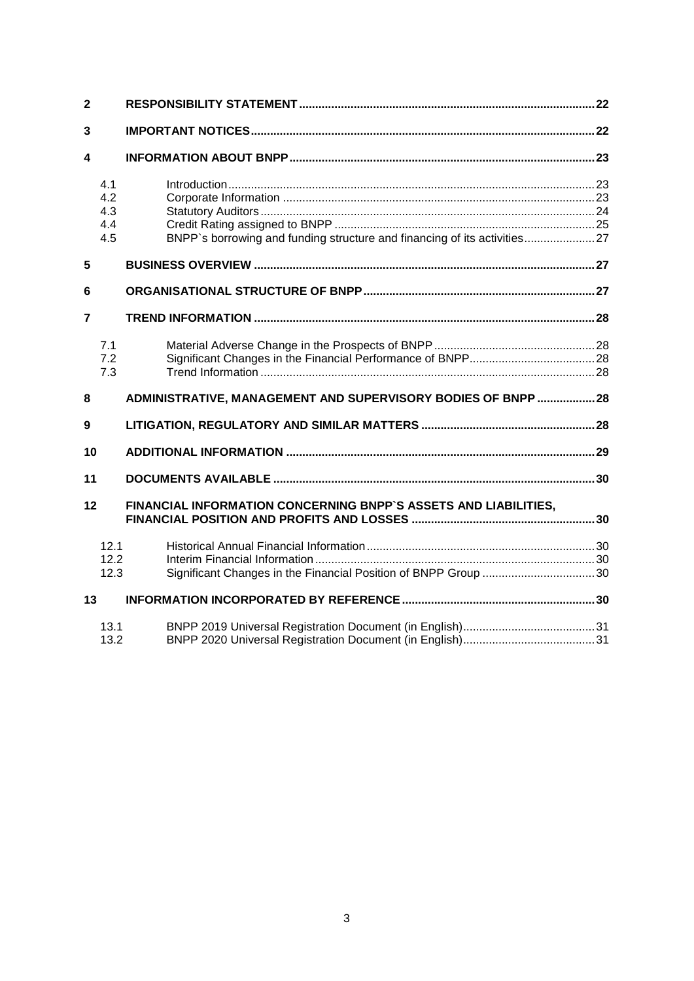| $\overline{2}$          |                          |                                                                          |  |
|-------------------------|--------------------------|--------------------------------------------------------------------------|--|
| 3                       |                          |                                                                          |  |
| $\overline{\mathbf{4}}$ |                          |                                                                          |  |
|                         | 4.1<br>4.2<br>4.3<br>4.4 |                                                                          |  |
|                         | 4.5                      | BNPP's borrowing and funding structure and financing of its activities27 |  |
| 5                       |                          |                                                                          |  |
| 6                       |                          |                                                                          |  |
| 7                       |                          |                                                                          |  |
|                         | 7.1<br>7.2<br>7.3        |                                                                          |  |
| 8                       |                          | ADMINISTRATIVE, MANAGEMENT AND SUPERVISORY BODIES OF BNPP 28             |  |
| 9                       |                          |                                                                          |  |
| 10                      |                          |                                                                          |  |
| 11                      |                          |                                                                          |  |
| 12                      |                          | FINANCIAL INFORMATION CONCERNING BNPP'S ASSETS AND LIABILITIES,          |  |
|                         | 12.1<br>12.2<br>12.3     | Significant Changes in the Financial Position of BNPP Group 30           |  |
| 13                      |                          |                                                                          |  |
|                         | 13.1<br>13.2             |                                                                          |  |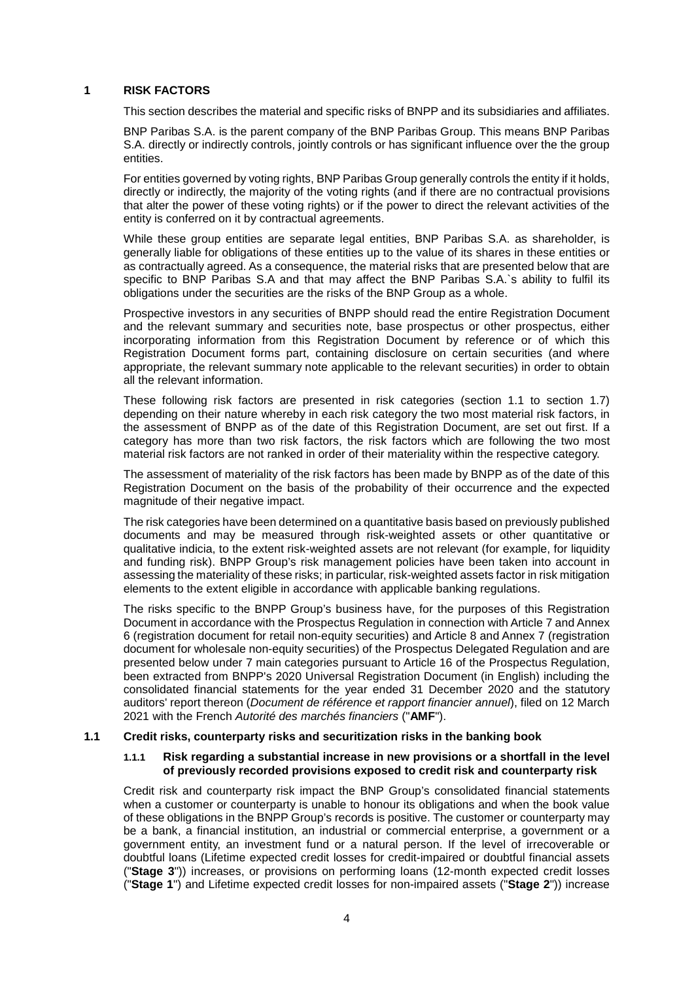### **1 RISK FACTORS**

This section describes the material and specific risks of BNPP and its subsidiaries and affiliates.

BNP Paribas S.A. is the parent company of the BNP Paribas Group. This means BNP Paribas S.A. directly or indirectly controls, jointly controls or has significant influence over the the group entities.

For entities governed by voting rights, BNP Paribas Group generally controls the entity if it holds, directly or indirectly, the majority of the voting rights (and if there are no contractual provisions that alter the power of these voting rights) or if the power to direct the relevant activities of the entity is conferred on it by contractual agreements.

While these group entities are separate legal entities, BNP Paribas S.A. as shareholder, is generally liable for obligations of these entities up to the value of its shares in these entities or as contractually agreed. As a consequence, the material risks that are presented below that are specific to BNP Paribas S.A and that may affect the BNP Paribas S.A.`s ability to fulfil its obligations under the securities are the risks of the BNP Group as a whole.

Prospective investors in any securities of BNPP should read the entire Registration Document and the relevant summary and securities note, base prospectus or other prospectus, either incorporating information from this Registration Document by reference or of which this Registration Document forms part, containing disclosure on certain securities (and where appropriate, the relevant summary note applicable to the relevant securities) in order to obtain all the relevant information.

These following risk factors are presented in risk categories (section 1.1 to section 1.7) depending on their nature whereby in each risk category the two most material risk factors, in the assessment of BNPP as of the date of this Registration Document, are set out first. If a category has more than two risk factors, the risk factors which are following the two most material risk factors are not ranked in order of their materiality within the respective category.

The assessment of materiality of the risk factors has been made by BNPP as of the date of this Registration Document on the basis of the probability of their occurrence and the expected magnitude of their negative impact.

The risk categories have been determined on a quantitative basis based on previously published documents and may be measured through risk-weighted assets or other quantitative or qualitative indicia, to the extent risk-weighted assets are not relevant (for example, for liquidity and funding risk). BNPP Group's risk management policies have been taken into account in assessing the materiality of these risks; in particular, risk-weighted assets factor in risk mitigation elements to the extent eligible in accordance with applicable banking regulations.

The risks specific to the BNPP Group's business have, for the purposes of this Registration Document in accordance with the Prospectus Regulation in connection with Article 7 and Annex 6 (registration document for retail non-equity securities) and Article 8 and Annex 7 (registration document for wholesale non-equity securities) of the Prospectus Delegated Regulation and are presented below under 7 main categories pursuant to Article 16 of the Prospectus Regulation, been extracted from BNPP's 2020 Universal Registration Document (in English) including the consolidated financial statements for the year ended 31 December 2020 and the statutory auditors' report thereon (*Document de référence et rapport financier annuel*), filed on 12 March 2021 with the French *Autorité des marchés financiers* ("**AMF**").

### **1.1 Credit risks, counterparty risks and securitization risks in the banking book**

### **1.1.1 Risk regarding a substantial increase in new provisions or a shortfall in the level of previously recorded provisions exposed to credit risk and counterparty risk**

Credit risk and counterparty risk impact the BNP Group's consolidated financial statements when a customer or counterparty is unable to honour its obligations and when the book value of these obligations in the BNPP Group's records is positive. The customer or counterparty may be a bank, a financial institution, an industrial or commercial enterprise, a government or a government entity, an investment fund or a natural person. If the level of irrecoverable or doubtful loans (Lifetime expected credit losses for credit-impaired or doubtful financial assets ("**Stage 3**")) increases, or provisions on performing loans (12-month expected credit losses ("**Stage 1**") and Lifetime expected credit losses for non-impaired assets ("**Stage 2**")) increase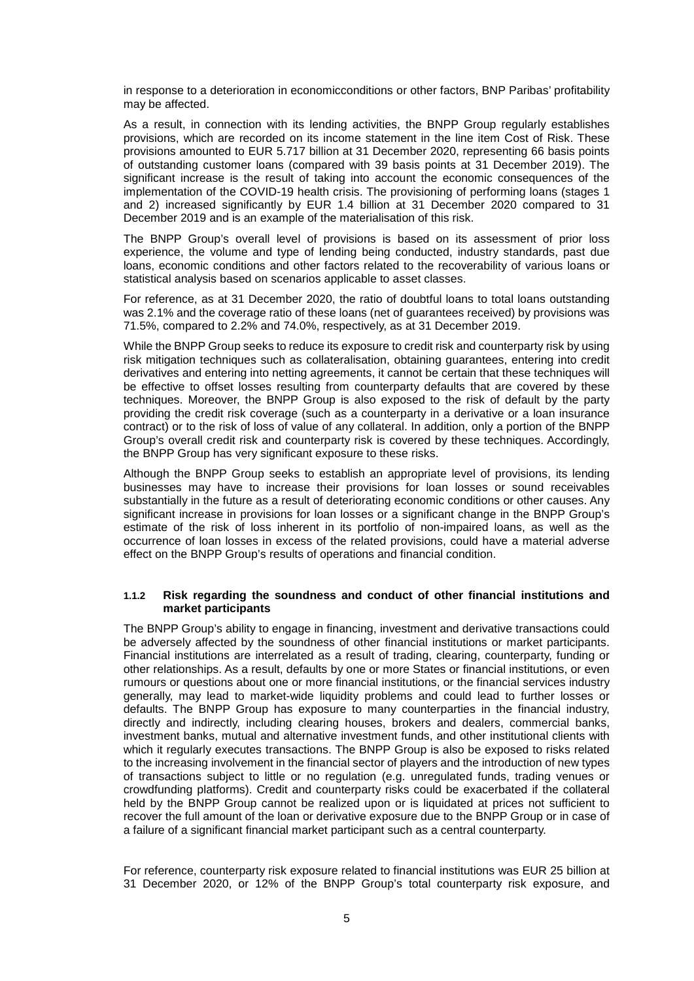in response to a deterioration in economicconditions or other factors, BNP Paribas' profitability may be affected.

As a result, in connection with its lending activities, the BNPP Group regularly establishes provisions, which are recorded on its income statement in the line item Cost of Risk. These provisions amounted to EUR 5.717 billion at 31 December 2020, representing 66 basis points of outstanding customer loans (compared with 39 basis points at 31 December 2019). The significant increase is the result of taking into account the economic consequences of the implementation of the COVID-19 health crisis. The provisioning of performing loans (stages 1 and 2) increased significantly by EUR 1.4 billion at 31 December 2020 compared to 31 December 2019 and is an example of the materialisation of this risk.

The BNPP Group's overall level of provisions is based on its assessment of prior loss experience, the volume and type of lending being conducted, industry standards, past due loans, economic conditions and other factors related to the recoverability of various loans or statistical analysis based on scenarios applicable to asset classes.

For reference, as at 31 December 2020, the ratio of doubtful loans to total loans outstanding was 2.1% and the coverage ratio of these loans (net of guarantees received) by provisions was 71.5%, compared to 2.2% and 74.0%, respectively, as at 31 December 2019.

While the BNPP Group seeks to reduce its exposure to credit risk and counterparty risk by using risk mitigation techniques such as collateralisation, obtaining guarantees, entering into credit derivatives and entering into netting agreements, it cannot be certain that these techniques will be effective to offset losses resulting from counterparty defaults that are covered by these techniques. Moreover, the BNPP Group is also exposed to the risk of default by the party providing the credit risk coverage (such as a counterparty in a derivative or a loan insurance contract) or to the risk of loss of value of any collateral. In addition, only a portion of the BNPP Group's overall credit risk and counterparty risk is covered by these techniques. Accordingly, the BNPP Group has very significant exposure to these risks.

Although the BNPP Group seeks to establish an appropriate level of provisions, its lending businesses may have to increase their provisions for loan losses or sound receivables substantially in the future as a result of deteriorating economic conditions or other causes. Any significant increase in provisions for loan losses or a significant change in the BNPP Group's estimate of the risk of loss inherent in its portfolio of non-impaired loans, as well as the occurrence of loan losses in excess of the related provisions, could have a material adverse effect on the BNPP Group's results of operations and financial condition.

#### **1.1.2 Risk regarding the soundness and conduct of other financial institutions and market participants**

The BNPP Group's ability to engage in financing, investment and derivative transactions could be adversely affected by the soundness of other financial institutions or market participants. Financial institutions are interrelated as a result of trading, clearing, counterparty, funding or other relationships. As a result, defaults by one or more States or financial institutions, or even rumours or questions about one or more financial institutions, or the financial services industry generally, may lead to market-wide liquidity problems and could lead to further losses or defaults. The BNPP Group has exposure to many counterparties in the financial industry, directly and indirectly, including clearing houses, brokers and dealers, commercial banks, investment banks, mutual and alternative investment funds, and other institutional clients with which it regularly executes transactions. The BNPP Group is also be exposed to risks related to the increasing involvement in the financial sector of players and the introduction of new types of transactions subject to little or no regulation (e.g. unregulated funds, trading venues or crowdfunding platforms). Credit and counterparty risks could be exacerbated if the collateral held by the BNPP Group cannot be realized upon or is liquidated at prices not sufficient to recover the full amount of the loan or derivative exposure due to the BNPP Group or in case of a failure of a significant financial market participant such as a central counterparty.

For reference, counterparty risk exposure related to financial institutions was EUR 25 billion at 31 December 2020, or 12% of the BNPP Group's total counterparty risk exposure, and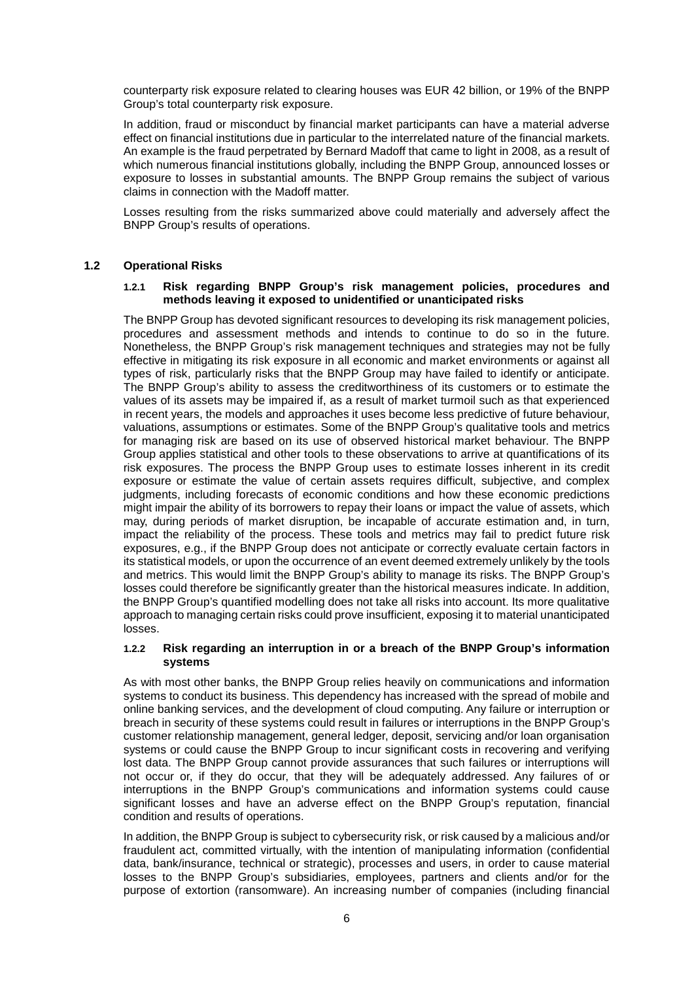counterparty risk exposure related to clearing houses was EUR 42 billion, or 19% of the BNPP Group's total counterparty risk exposure.

In addition, fraud or misconduct by financial market participants can have a material adverse effect on financial institutions due in particular to the interrelated nature of the financial markets. An example is the fraud perpetrated by Bernard Madoff that came to light in 2008, as a result of which numerous financial institutions globally, including the BNPP Group, announced losses or exposure to losses in substantial amounts. The BNPP Group remains the subject of various claims in connection with the Madoff matter.

Losses resulting from the risks summarized above could materially and adversely affect the BNPP Group's results of operations.

### **1.2 Operational Risks**

### **1.2.1 Risk regarding BNPP Group's risk management policies, procedures and methods leaving it exposed to unidentified or unanticipated risks**

The BNPP Group has devoted significant resources to developing its risk management policies, procedures and assessment methods and intends to continue to do so in the future. Nonetheless, the BNPP Group's risk management techniques and strategies may not be fully effective in mitigating its risk exposure in all economic and market environments or against all types of risk, particularly risks that the BNPP Group may have failed to identify or anticipate. The BNPP Group's ability to assess the creditworthiness of its customers or to estimate the values of its assets may be impaired if, as a result of market turmoil such as that experienced in recent years, the models and approaches it uses become less predictive of future behaviour, valuations, assumptions or estimates. Some of the BNPP Group's qualitative tools and metrics for managing risk are based on its use of observed historical market behaviour. The BNPP Group applies statistical and other tools to these observations to arrive at quantifications of its risk exposures. The process the BNPP Group uses to estimate losses inherent in its credit exposure or estimate the value of certain assets requires difficult, subjective, and complex judgments, including forecasts of economic conditions and how these economic predictions might impair the ability of its borrowers to repay their loans or impact the value of assets, which may, during periods of market disruption, be incapable of accurate estimation and, in turn, impact the reliability of the process. These tools and metrics may fail to predict future risk exposures, e.g., if the BNPP Group does not anticipate or correctly evaluate certain factors in its statistical models, or upon the occurrence of an event deemed extremely unlikely by the tools and metrics. This would limit the BNPP Group's ability to manage its risks. The BNPP Group's losses could therefore be significantly greater than the historical measures indicate. In addition, the BNPP Group's quantified modelling does not take all risks into account. Its more qualitative approach to managing certain risks could prove insufficient, exposing it to material unanticipated losses.

### **1.2.2 Risk regarding an interruption in or a breach of the BNPP Group's information systems**

As with most other banks, the BNPP Group relies heavily on communications and information systems to conduct its business. This dependency has increased with the spread of mobile and online banking services, and the development of cloud computing. Any failure or interruption or breach in security of these systems could result in failures or interruptions in the BNPP Group's customer relationship management, general ledger, deposit, servicing and/or loan organisation systems or could cause the BNPP Group to incur significant costs in recovering and verifying lost data. The BNPP Group cannot provide assurances that such failures or interruptions will not occur or, if they do occur, that they will be adequately addressed. Any failures of or interruptions in the BNPP Group's communications and information systems could cause significant losses and have an adverse effect on the BNPP Group's reputation, financial condition and results of operations.

In addition, the BNPP Group is subject to cybersecurity risk, or risk caused by a malicious and/or fraudulent act, committed virtually, with the intention of manipulating information (confidential data, bank/insurance, technical or strategic), processes and users, in order to cause material losses to the BNPP Group's subsidiaries, employees, partners and clients and/or for the purpose of extortion (ransomware). An increasing number of companies (including financial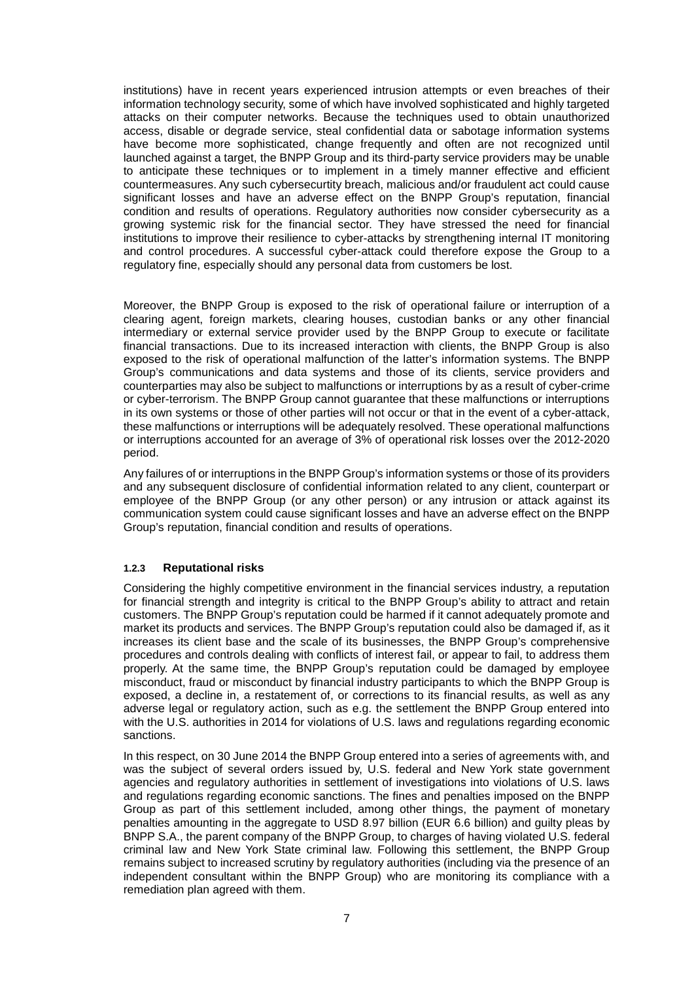institutions) have in recent years experienced intrusion attempts or even breaches of their information technology security, some of which have involved sophisticated and highly targeted attacks on their computer networks. Because the techniques used to obtain unauthorized access, disable or degrade service, steal confidential data or sabotage information systems have become more sophisticated, change frequently and often are not recognized until launched against a target, the BNPP Group and its third-party service providers may be unable to anticipate these techniques or to implement in a timely manner effective and efficient countermeasures. Any such cybersecurtity breach, malicious and/or fraudulent act could cause significant losses and have an adverse effect on the BNPP Group's reputation, financial condition and results of operations. Regulatory authorities now consider cybersecurity as a growing systemic risk for the financial sector. They have stressed the need for financial institutions to improve their resilience to cyber-attacks by strengthening internal IT monitoring and control procedures. A successful cyber-attack could therefore expose the Group to a regulatory fine, especially should any personal data from customers be lost.

Moreover, the BNPP Group is exposed to the risk of operational failure or interruption of a clearing agent, foreign markets, clearing houses, custodian banks or any other financial intermediary or external service provider used by the BNPP Group to execute or facilitate financial transactions. Due to its increased interaction with clients, the BNPP Group is also exposed to the risk of operational malfunction of the latter's information systems. The BNPP Group's communications and data systems and those of its clients, service providers and counterparties may also be subject to malfunctions or interruptions by as a result of cyber-crime or cyber-terrorism. The BNPP Group cannot guarantee that these malfunctions or interruptions in its own systems or those of other parties will not occur or that in the event of a cyber-attack, these malfunctions or interruptions will be adequately resolved. These operational malfunctions or interruptions accounted for an average of 3% of operational risk losses over the 2012-2020 period.

Any failures of or interruptions in the BNPP Group's information systems or those of its providers and any subsequent disclosure of confidential information related to any client, counterpart or employee of the BNPP Group (or any other person) or any intrusion or attack against its communication system could cause significant losses and have an adverse effect on the BNPP Group's reputation, financial condition and results of operations.

### **1.2.3 Reputational risks**

Considering the highly competitive environment in the financial services industry, a reputation for financial strength and integrity is critical to the BNPP Group's ability to attract and retain customers. The BNPP Group's reputation could be harmed if it cannot adequately promote and market its products and services. The BNPP Group's reputation could also be damaged if, as it increases its client base and the scale of its businesses, the BNPP Group's comprehensive procedures and controls dealing with conflicts of interest fail, or appear to fail, to address them properly. At the same time, the BNPP Group's reputation could be damaged by employee misconduct, fraud or misconduct by financial industry participants to which the BNPP Group is exposed, a decline in, a restatement of, or corrections to its financial results, as well as any adverse legal or regulatory action, such as e.g. the settlement the BNPP Group entered into with the U.S. authorities in 2014 for violations of U.S. laws and regulations regarding economic sanctions.

In this respect, on 30 June 2014 the BNPP Group entered into a series of agreements with, and was the subject of several orders issued by, U.S. federal and New York state government agencies and regulatory authorities in settlement of investigations into violations of U.S. laws and regulations regarding economic sanctions. The fines and penalties imposed on the BNPP Group as part of this settlement included, among other things, the payment of monetary penalties amounting in the aggregate to USD 8.97 billion (EUR 6.6 billion) and guilty pleas by BNPP S.A., the parent company of the BNPP Group, to charges of having violated U.S. federal criminal law and New York State criminal law. Following this settlement, the BNPP Group remains subject to increased scrutiny by regulatory authorities (including via the presence of an independent consultant within the BNPP Group) who are monitoring its compliance with a remediation plan agreed with them.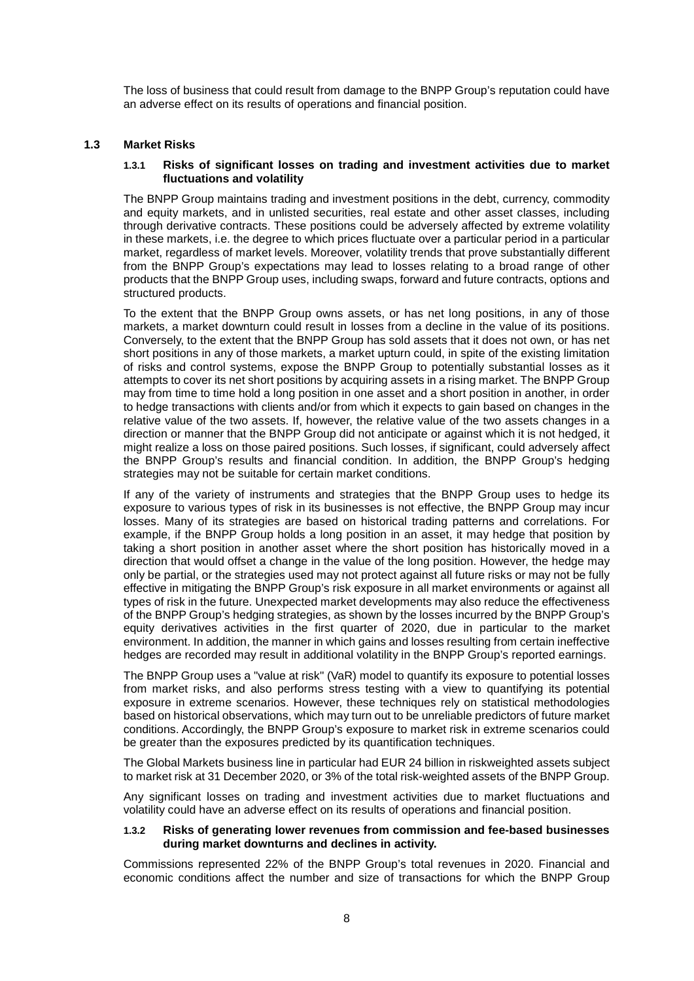The loss of business that could result from damage to the BNPP Group's reputation could have an adverse effect on its results of operations and financial position.

### **1.3 Market Risks**

#### **1.3.1 Risks of significant losses on trading and investment activities due to market fluctuations and volatility**

The BNPP Group maintains trading and investment positions in the debt, currency, commodity and equity markets, and in unlisted securities, real estate and other asset classes, including through derivative contracts. These positions could be adversely affected by extreme volatility in these markets, i.e. the degree to which prices fluctuate over a particular period in a particular market, regardless of market levels. Moreover, volatility trends that prove substantially different from the BNPP Group's expectations may lead to losses relating to a broad range of other products that the BNPP Group uses, including swaps, forward and future contracts, options and structured products.

To the extent that the BNPP Group owns assets, or has net long positions, in any of those markets, a market downturn could result in losses from a decline in the value of its positions. Conversely, to the extent that the BNPP Group has sold assets that it does not own, or has net short positions in any of those markets, a market upturn could, in spite of the existing limitation of risks and control systems, expose the BNPP Group to potentially substantial losses as it attempts to cover its net short positions by acquiring assets in a rising market. The BNPP Group may from time to time hold a long position in one asset and a short position in another, in order to hedge transactions with clients and/or from which it expects to gain based on changes in the relative value of the two assets. If, however, the relative value of the two assets changes in a direction or manner that the BNPP Group did not anticipate or against which it is not hedged, it might realize a loss on those paired positions. Such losses, if significant, could adversely affect the BNPP Group's results and financial condition. In addition, the BNPP Group's hedging strategies may not be suitable for certain market conditions.

If any of the variety of instruments and strategies that the BNPP Group uses to hedge its exposure to various types of risk in its businesses is not effective, the BNPP Group may incur losses. Many of its strategies are based on historical trading patterns and correlations. For example, if the BNPP Group holds a long position in an asset, it may hedge that position by taking a short position in another asset where the short position has historically moved in a direction that would offset a change in the value of the long position. However, the hedge may only be partial, or the strategies used may not protect against all future risks or may not be fully effective in mitigating the BNPP Group's risk exposure in all market environments or against all types of risk in the future. Unexpected market developments may also reduce the effectiveness of the BNPP Group's hedging strategies, as shown by the losses incurred by the BNPP Group's equity derivatives activities in the first quarter of 2020, due in particular to the market environment. In addition, the manner in which gains and losses resulting from certain ineffective hedges are recorded may result in additional volatility in the BNPP Group's reported earnings.

The BNPP Group uses a "value at risk" (VaR) model to quantify its exposure to potential losses from market risks, and also performs stress testing with a view to quantifying its potential exposure in extreme scenarios. However, these techniques rely on statistical methodologies based on historical observations, which may turn out to be unreliable predictors of future market conditions. Accordingly, the BNPP Group's exposure to market risk in extreme scenarios could be greater than the exposures predicted by its quantification techniques.

The Global Markets business line in particular had EUR 24 billion in riskweighted assets subject to market risk at 31 December 2020, or 3% of the total risk-weighted assets of the BNPP Group.

Any significant losses on trading and investment activities due to market fluctuations and volatility could have an adverse effect on its results of operations and financial position.

### **1.3.2 Risks of generating lower revenues from commission and fee-based businesses during market downturns and declines in activity.**

Commissions represented 22% of the BNPP Group's total revenues in 2020. Financial and economic conditions affect the number and size of transactions for which the BNPP Group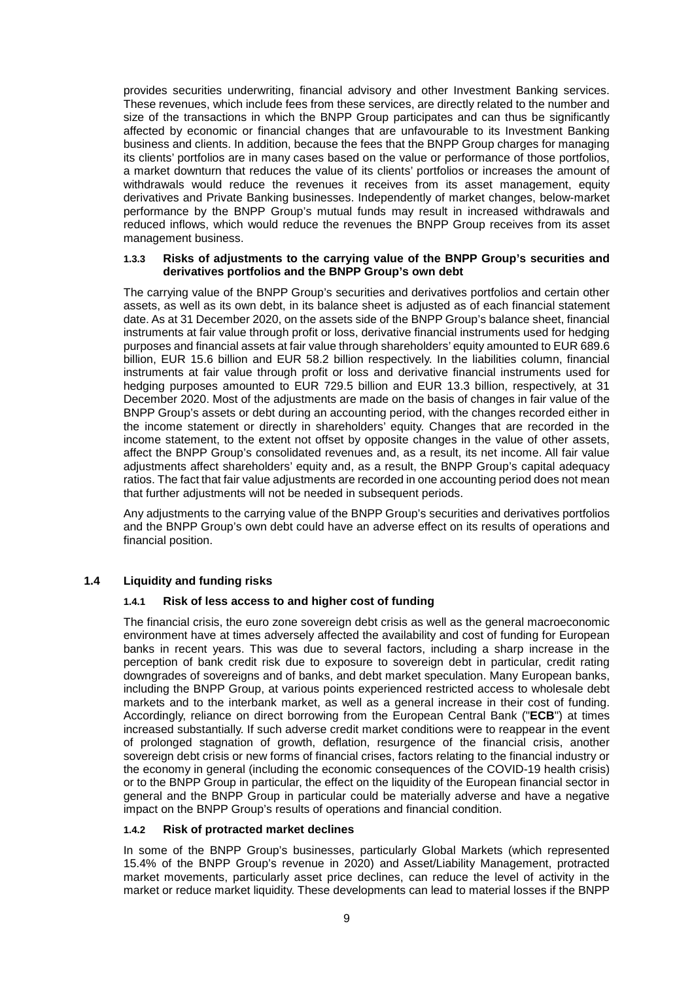provides securities underwriting, financial advisory and other Investment Banking services. These revenues, which include fees from these services, are directly related to the number and size of the transactions in which the BNPP Group participates and can thus be significantly affected by economic or financial changes that are unfavourable to its Investment Banking business and clients. In addition, because the fees that the BNPP Group charges for managing its clients' portfolios are in many cases based on the value or performance of those portfolios, a market downturn that reduces the value of its clients' portfolios or increases the amount of withdrawals would reduce the revenues it receives from its asset management, equity derivatives and Private Banking businesses. Independently of market changes, below-market performance by the BNPP Group's mutual funds may result in increased withdrawals and reduced inflows, which would reduce the revenues the BNPP Group receives from its asset management business.

### **1.3.3 Risks of adjustments to the carrying value of the BNPP Group's securities and derivatives portfolios and the BNPP Group's own debt**

The carrying value of the BNPP Group's securities and derivatives portfolios and certain other assets, as well as its own debt, in its balance sheet is adjusted as of each financial statement date. As at 31 December 2020, on the assets side of the BNPP Group's balance sheet, financial instruments at fair value through profit or loss, derivative financial instruments used for hedging purposes and financial assets at fair value through shareholders' equity amounted to EUR 689.6 billion, EUR 15.6 billion and EUR 58.2 billion respectively. In the liabilities column, financial instruments at fair value through profit or loss and derivative financial instruments used for hedging purposes amounted to EUR 729.5 billion and EUR 13.3 billion, respectively, at 31 December 2020. Most of the adjustments are made on the basis of changes in fair value of the BNPP Group's assets or debt during an accounting period, with the changes recorded either in the income statement or directly in shareholders' equity. Changes that are recorded in the income statement, to the extent not offset by opposite changes in the value of other assets, affect the BNPP Group's consolidated revenues and, as a result, its net income. All fair value adjustments affect shareholders' equity and, as a result, the BNPP Group's capital adequacy ratios. The fact that fair value adjustments are recorded in one accounting period does not mean that further adjustments will not be needed in subsequent periods.

Any adjustments to the carrying value of the BNPP Group's securities and derivatives portfolios and the BNPP Group's own debt could have an adverse effect on its results of operations and financial position.

### **1.4 Liquidity and funding risks**

### **1.4.1 Risk of less access to and higher cost of funding**

The financial crisis, the euro zone sovereign debt crisis as well as the general macroeconomic environment have at times adversely affected the availability and cost of funding for European banks in recent years. This was due to several factors, including a sharp increase in the perception of bank credit risk due to exposure to sovereign debt in particular, credit rating downgrades of sovereigns and of banks, and debt market speculation. Many European banks, including the BNPP Group, at various points experienced restricted access to wholesale debt markets and to the interbank market, as well as a general increase in their cost of funding. Accordingly, reliance on direct borrowing from the European Central Bank ("**ECB**") at times increased substantially. If such adverse credit market conditions were to reappear in the event of prolonged stagnation of growth, deflation, resurgence of the financial crisis, another sovereign debt crisis or new forms of financial crises, factors relating to the financial industry or the economy in general (including the economic consequences of the COVID-19 health crisis) or to the BNPP Group in particular, the effect on the liquidity of the European financial sector in general and the BNPP Group in particular could be materially adverse and have a negative impact on the BNPP Group's results of operations and financial condition.

### **1.4.2 Risk of protracted market declines**

In some of the BNPP Group's businesses, particularly Global Markets (which represented 15.4% of the BNPP Group's revenue in 2020) and Asset/Liability Management, protracted market movements, particularly asset price declines, can reduce the level of activity in the market or reduce market liquidity. These developments can lead to material losses if the BNPP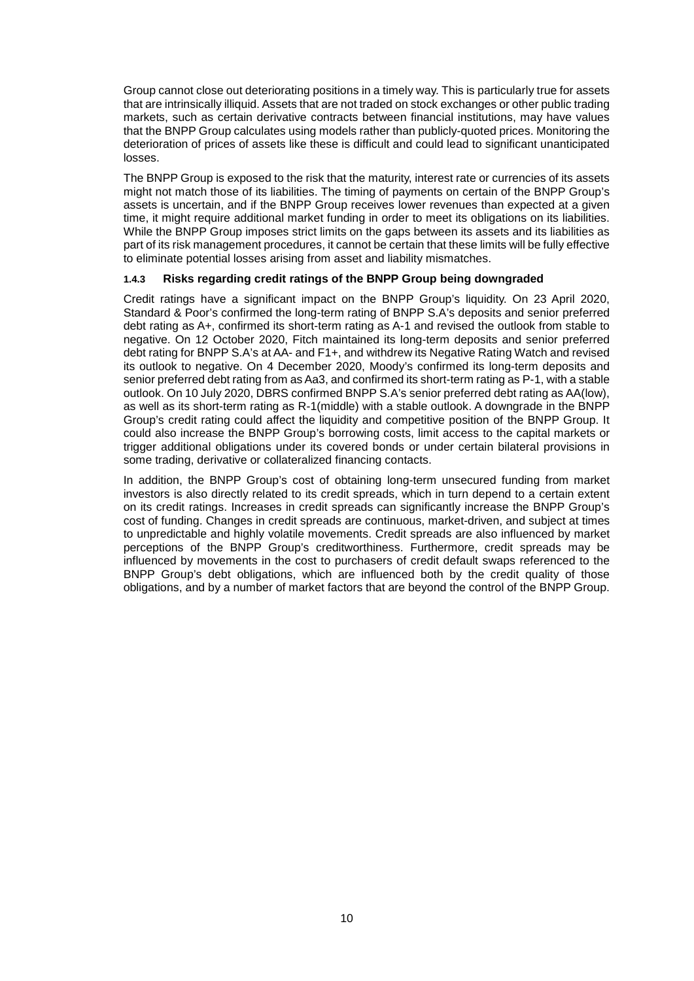Group cannot close out deteriorating positions in a timely way. This is particularly true for assets that are intrinsically illiquid. Assets that are not traded on stock exchanges or other public trading markets, such as certain derivative contracts between financial institutions, may have values that the BNPP Group calculates using models rather than publicly-quoted prices. Monitoring the deterioration of prices of assets like these is difficult and could lead to significant unanticipated losses.

The BNPP Group is exposed to the risk that the maturity, interest rate or currencies of its assets might not match those of its liabilities. The timing of payments on certain of the BNPP Group's assets is uncertain, and if the BNPP Group receives lower revenues than expected at a given time, it might require additional market funding in order to meet its obligations on its liabilities. While the BNPP Group imposes strict limits on the gaps between its assets and its liabilities as part of its risk management procedures, it cannot be certain that these limits will be fully effective to eliminate potential losses arising from asset and liability mismatches.

### **1.4.3 Risks regarding credit ratings of the BNPP Group being downgraded**

Credit ratings have a significant impact on the BNPP Group's liquidity. On 23 April 2020, Standard & Poor's confirmed the long-term rating of BNPP S.A's deposits and senior preferred debt rating as A+, confirmed its short-term rating as A-1 and revised the outlook from stable to negative. On 12 October 2020, Fitch maintained its long-term deposits and senior preferred debt rating for BNPP S.A's at AA- and F1+, and withdrew its Negative Rating Watch and revised its outlook to negative. On 4 December 2020, Moody's confirmed its long-term deposits and senior preferred debt rating from as Aa3, and confirmed its short-term rating as P-1, with a stable outlook. On 10 July 2020, DBRS confirmed BNPP S.A's senior preferred debt rating as AA(low), as well as its short-term rating as R-1(middle) with a stable outlook. A downgrade in the BNPP Group's credit rating could affect the liquidity and competitive position of the BNPP Group. It could also increase the BNPP Group's borrowing costs, limit access to the capital markets or trigger additional obligations under its covered bonds or under certain bilateral provisions in some trading, derivative or collateralized financing contacts.

In addition, the BNPP Group's cost of obtaining long-term unsecured funding from market investors is also directly related to its credit spreads, which in turn depend to a certain extent on its credit ratings. Increases in credit spreads can significantly increase the BNPP Group's cost of funding. Changes in credit spreads are continuous, market-driven, and subject at times to unpredictable and highly volatile movements. Credit spreads are also influenced by market perceptions of the BNPP Group's creditworthiness. Furthermore, credit spreads may be influenced by movements in the cost to purchasers of credit default swaps referenced to the BNPP Group's debt obligations, which are influenced both by the credit quality of those obligations, and by a number of market factors that are beyond the control of the BNPP Group.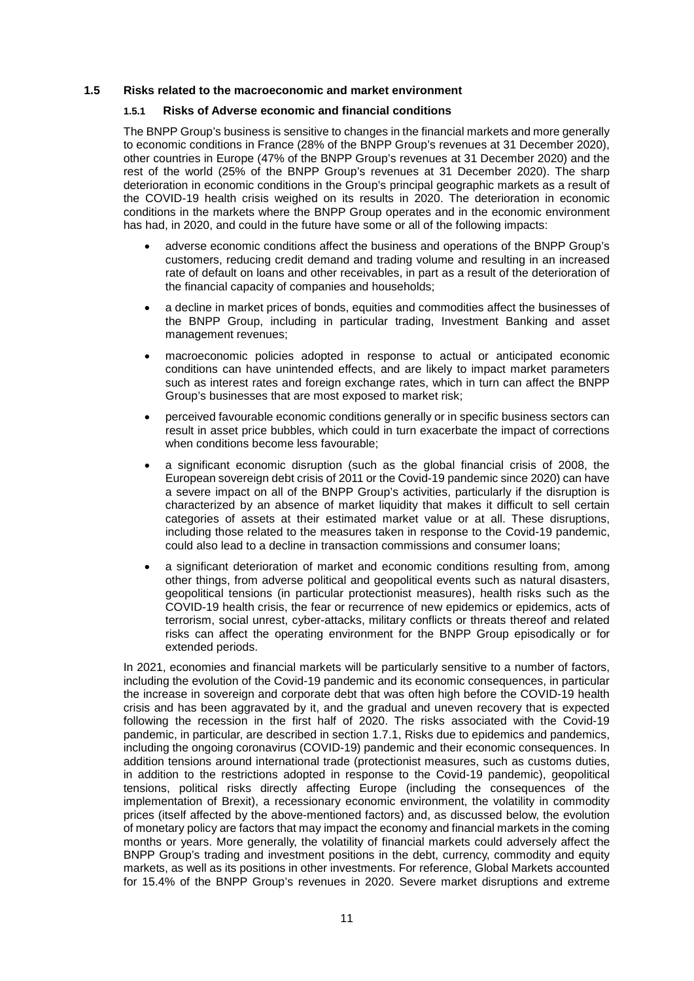### **1.5 Risks related to the macroeconomic and market environment**

### **1.5.1 Risks of Adverse economic and financial conditions**

The BNPP Group's business is sensitive to changes in the financial markets and more generally to economic conditions in France (28% of the BNPP Group's revenues at 31 December 2020), other countries in Europe (47% of the BNPP Group's revenues at 31 December 2020) and the rest of the world (25% of the BNPP Group's revenues at 31 December 2020). The sharp deterioration in economic conditions in the Group's principal geographic markets as a result of the COVID-19 health crisis weighed on its results in 2020. The deterioration in economic conditions in the markets where the BNPP Group operates and in the economic environment has had, in 2020, and could in the future have some or all of the following impacts:

- adverse economic conditions affect the business and operations of the BNPP Group's customers, reducing credit demand and trading volume and resulting in an increased rate of default on loans and other receivables, in part as a result of the deterioration of the financial capacity of companies and households;
- a decline in market prices of bonds, equities and commodities affect the businesses of the BNPP Group, including in particular trading, Investment Banking and asset management revenues;
- macroeconomic policies adopted in response to actual or anticipated economic conditions can have unintended effects, and are likely to impact market parameters such as interest rates and foreign exchange rates, which in turn can affect the BNPP Group's businesses that are most exposed to market risk;
- perceived favourable economic conditions generally or in specific business sectors can result in asset price bubbles, which could in turn exacerbate the impact of corrections when conditions become less favourable;
- a significant economic disruption (such as the global financial crisis of 2008, the European sovereign debt crisis of 2011 or the Covid-19 pandemic since 2020) can have a severe impact on all of the BNPP Group's activities, particularly if the disruption is characterized by an absence of market liquidity that makes it difficult to sell certain categories of assets at their estimated market value or at all. These disruptions, including those related to the measures taken in response to the Covid-19 pandemic, could also lead to a decline in transaction commissions and consumer loans;
- a significant deterioration of market and economic conditions resulting from, among other things, from adverse political and geopolitical events such as natural disasters, geopolitical tensions (in particular protectionist measures), health risks such as the COVID-19 health crisis, the fear or recurrence of new epidemics or epidemics, acts of terrorism, social unrest, cyber-attacks, military conflicts or threats thereof and related risks can affect the operating environment for the BNPP Group episodically or for extended periods.

In 2021, economies and financial markets will be particularly sensitive to a number of factors, including the evolution of the Covid-19 pandemic and its economic consequences, in particular the increase in sovereign and corporate debt that was often high before the COVID-19 health crisis and has been aggravated by it, and the gradual and uneven recovery that is expected following the recession in the first half of 2020. The risks associated with the Covid-19 pandemic, in particular, are described in section 1.7.1, Risks due to epidemics and pandemics, including the ongoing coronavirus (COVID-19) pandemic and their economic consequences. In addition tensions around international trade (protectionist measures, such as customs duties, in addition to the restrictions adopted in response to the Covid-19 pandemic), geopolitical tensions, political risks directly affecting Europe (including the consequences of the implementation of Brexit), a recessionary economic environment, the volatility in commodity prices (itself affected by the above-mentioned factors) and, as discussed below, the evolution of monetary policy are factors that may impact the economy and financial markets in the coming months or years. More generally, the volatility of financial markets could adversely affect the BNPP Group's trading and investment positions in the debt, currency, commodity and equity markets, as well as its positions in other investments. For reference, Global Markets accounted for 15.4% of the BNPP Group's revenues in 2020. Severe market disruptions and extreme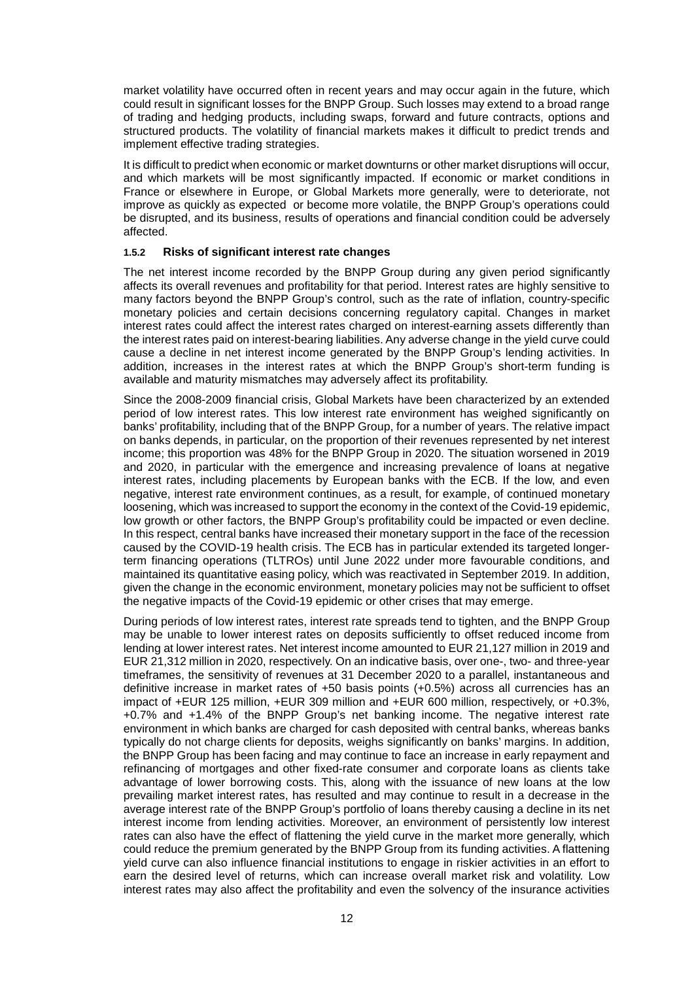market volatility have occurred often in recent years and may occur again in the future, which could result in significant losses for the BNPP Group. Such losses may extend to a broad range of trading and hedging products, including swaps, forward and future contracts, options and structured products. The volatility of financial markets makes it difficult to predict trends and implement effective trading strategies.

It is difficult to predict when economic or market downturns or other market disruptions will occur, and which markets will be most significantly impacted. If economic or market conditions in France or elsewhere in Europe, or Global Markets more generally, were to deteriorate, not improve as quickly as expected or become more volatile, the BNPP Group's operations could be disrupted, and its business, results of operations and financial condition could be adversely affected.

#### **1.5.2 Risks of significant interest rate changes**

The net interest income recorded by the BNPP Group during any given period significantly affects its overall revenues and profitability for that period. Interest rates are highly sensitive to many factors beyond the BNPP Group's control, such as the rate of inflation, country-specific monetary policies and certain decisions concerning regulatory capital. Changes in market interest rates could affect the interest rates charged on interest-earning assets differently than the interest rates paid on interest-bearing liabilities. Any adverse change in the yield curve could cause a decline in net interest income generated by the BNPP Group's lending activities. In addition, increases in the interest rates at which the BNPP Group's short-term funding is available and maturity mismatches may adversely affect its profitability.

Since the 2008-2009 financial crisis, Global Markets have been characterized by an extended period of low interest rates. This low interest rate environment has weighed significantly on banks' profitability, including that of the BNPP Group, for a number of years. The relative impact on banks depends, in particular, on the proportion of their revenues represented by net interest income; this proportion was 48% for the BNPP Group in 2020. The situation worsened in 2019 and 2020, in particular with the emergence and increasing prevalence of loans at negative interest rates, including placements by European banks with the ECB. If the low, and even negative, interest rate environment continues, as a result, for example, of continued monetary loosening, which was increased to support the economy in the context of the Covid-19 epidemic, low growth or other factors, the BNPP Group's profitability could be impacted or even decline. In this respect, central banks have increased their monetary support in the face of the recession caused by the COVID-19 health crisis. The ECB has in particular extended its targeted longerterm financing operations (TLTROs) until June 2022 under more favourable conditions, and maintained its quantitative easing policy, which was reactivated in September 2019. In addition, given the change in the economic environment, monetary policies may not be sufficient to offset the negative impacts of the Covid-19 epidemic or other crises that may emerge.

During periods of low interest rates, interest rate spreads tend to tighten, and the BNPP Group may be unable to lower interest rates on deposits sufficiently to offset reduced income from lending at lower interest rates. Net interest income amounted to EUR 21,127 million in 2019 and EUR 21,312 million in 2020, respectively. On an indicative basis, over one-, two- and three-year timeframes, the sensitivity of revenues at 31 December 2020 to a parallel, instantaneous and definitive increase in market rates of +50 basis points (+0.5%) across all currencies has an impact of +EUR 125 million, +EUR 309 million and +EUR 600 million, respectively, or +0.3%, +0.7% and +1.4% of the BNPP Group's net banking income. The negative interest rate environment in which banks are charged for cash deposited with central banks, whereas banks typically do not charge clients for deposits, weighs significantly on banks' margins. In addition, the BNPP Group has been facing and may continue to face an increase in early repayment and refinancing of mortgages and other fixed-rate consumer and corporate loans as clients take advantage of lower borrowing costs. This, along with the issuance of new loans at the low prevailing market interest rates, has resulted and may continue to result in a decrease in the average interest rate of the BNPP Group's portfolio of loans thereby causing a decline in its net interest income from lending activities. Moreover, an environment of persistently low interest rates can also have the effect of flattening the yield curve in the market more generally, which could reduce the premium generated by the BNPP Group from its funding activities. A flattening yield curve can also influence financial institutions to engage in riskier activities in an effort to earn the desired level of returns, which can increase overall market risk and volatility. Low interest rates may also affect the profitability and even the solvency of the insurance activities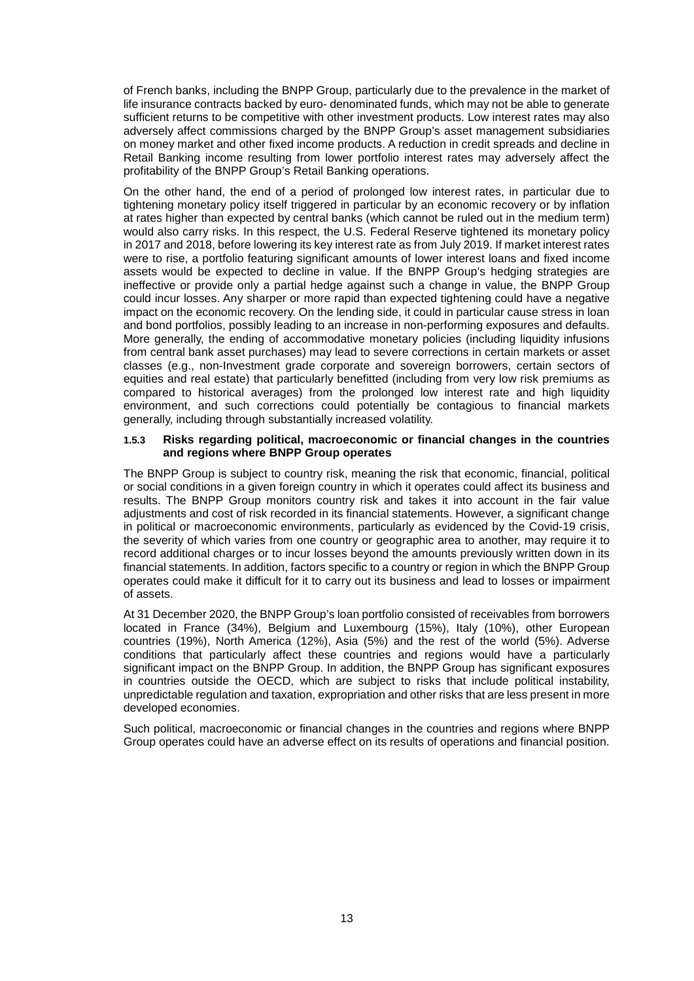of French banks, including the BNPP Group, particularly due to the prevalence in the market of life insurance contracts backed by euro- denominated funds, which may not be able to generate sufficient returns to be competitive with other investment products. Low interest rates may also adversely affect commissions charged by the BNPP Group's asset management subsidiaries on money market and other fixed income products. A reduction in credit spreads and decline in Retail Banking income resulting from lower portfolio interest rates may adversely affect the profitability of the BNPP Group's Retail Banking operations.

On the other hand, the end of a period of prolonged low interest rates, in particular due to tightening monetary policy itself triggered in particular by an economic recovery or by inflation at rates higher than expected by central banks (which cannot be ruled out in the medium term) would also carry risks. In this respect, the U.S. Federal Reserve tightened its monetary policy in 2017 and 2018, before lowering its key interest rate as from July 2019. If market interest rates were to rise, a portfolio featuring significant amounts of lower interest loans and fixed income assets would be expected to decline in value. If the BNPP Group's hedging strategies are ineffective or provide only a partial hedge against such a change in value, the BNPP Group could incur losses. Any sharper or more rapid than expected tightening could have a negative impact on the economic recovery. On the lending side, it could in particular cause stress in loan and bond portfolios, possibly leading to an increase in non-performing exposures and defaults. More generally, the ending of accommodative monetary policies (including liquidity infusions from central bank asset purchases) may lead to severe corrections in certain markets or asset classes (e.g., non-Investment grade corporate and sovereign borrowers, certain sectors of equities and real estate) that particularly benefitted (including from very low risk premiums as compared to historical averages) from the prolonged low interest rate and high liquidity environment, and such corrections could potentially be contagious to financial markets generally, including through substantially increased volatility.

#### **1.5.3 Risks regarding political, macroeconomic or financial changes in the countries and regions where BNPP Group operates**

The BNPP Group is subject to country risk, meaning the risk that economic, financial, political or social conditions in a given foreign country in which it operates could affect its business and results. The BNPP Group monitors country risk and takes it into account in the fair value adjustments and cost of risk recorded in its financial statements. However, a significant change in political or macroeconomic environments, particularly as evidenced by the Covid-19 crisis, the severity of which varies from one country or geographic area to another, may require it to record additional charges or to incur losses beyond the amounts previously written down in its financial statements. In addition, factors specific to a country or region in which the BNPP Group operates could make it difficult for it to carry out its business and lead to losses or impairment of assets.

At 31 December 2020, the BNPP Group's loan portfolio consisted of receivables from borrowers located in France (34%), Belgium and Luxembourg (15%), Italy (10%), other European countries (19%), North America (12%), Asia (5%) and the rest of the world (5%). Adverse conditions that particularly affect these countries and regions would have a particularly significant impact on the BNPP Group. In addition, the BNPP Group has significant exposures in countries outside the OECD, which are subject to risks that include political instability, unpredictable regulation and taxation, expropriation and other risks that are less present in more developed economies.

Such political, macroeconomic or financial changes in the countries and regions where BNPP Group operates could have an adverse effect on its results of operations and financial position.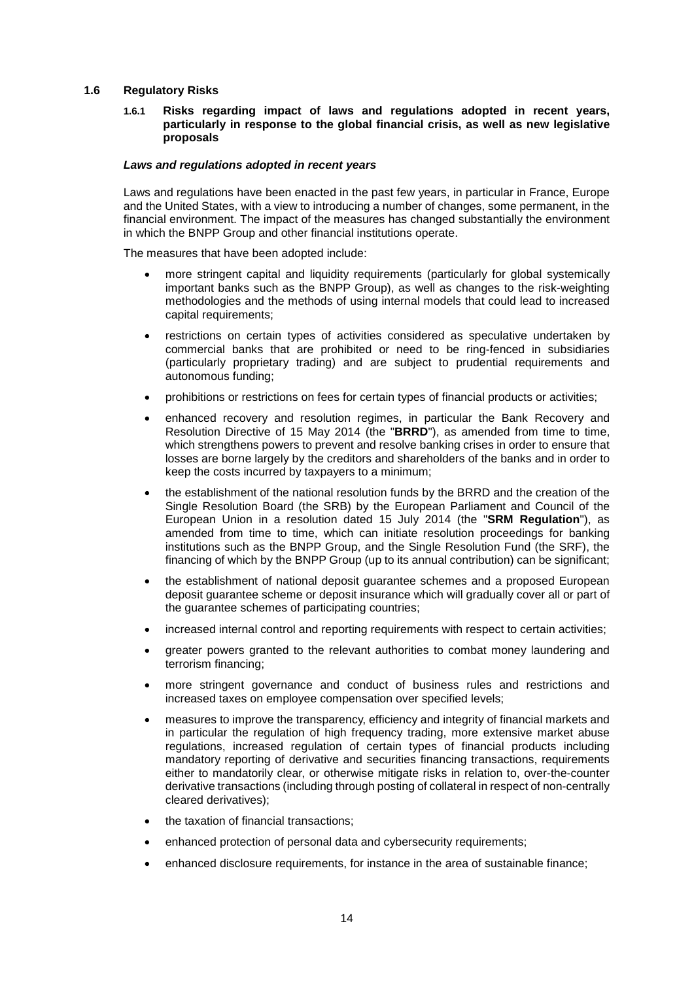### **1.6 Regulatory Risks**

#### **1.6.1 Risks regarding impact of laws and regulations adopted in recent years, particularly in response to the global financial crisis, as well as new legislative proposals**

#### *Laws and regulations adopted in recent years*

Laws and regulations have been enacted in the past few years, in particular in France, Europe and the United States, with a view to introducing a number of changes, some permanent, in the financial environment. The impact of the measures has changed substantially the environment in which the BNPP Group and other financial institutions operate.

The measures that have been adopted include:

- more stringent capital and liquidity requirements (particularly for global systemically important banks such as the BNPP Group), as well as changes to the risk-weighting methodologies and the methods of using internal models that could lead to increased capital requirements;
- restrictions on certain types of activities considered as speculative undertaken by commercial banks that are prohibited or need to be ring-fenced in subsidiaries (particularly proprietary trading) and are subject to prudential requirements and autonomous funding;
- prohibitions or restrictions on fees for certain types of financial products or activities;
- enhanced recovery and resolution regimes, in particular the Bank Recovery and Resolution Directive of 15 May 2014 (the "**BRRD**"), as amended from time to time, which strengthens powers to prevent and resolve banking crises in order to ensure that losses are borne largely by the creditors and shareholders of the banks and in order to keep the costs incurred by taxpayers to a minimum;
- the establishment of the national resolution funds by the BRRD and the creation of the Single Resolution Board (the SRB) by the European Parliament and Council of the European Union in a resolution dated 15 July 2014 (the "**SRM Regulation**"), as amended from time to time, which can initiate resolution proceedings for banking institutions such as the BNPP Group, and the Single Resolution Fund (the SRF), the financing of which by the BNPP Group (up to its annual contribution) can be significant;
- the establishment of national deposit guarantee schemes and a proposed European deposit guarantee scheme or deposit insurance which will gradually cover all or part of the guarantee schemes of participating countries;
- increased internal control and reporting requirements with respect to certain activities;
- greater powers granted to the relevant authorities to combat money laundering and terrorism financing;
- more stringent governance and conduct of business rules and restrictions and increased taxes on employee compensation over specified levels;
- measures to improve the transparency, efficiency and integrity of financial markets and in particular the regulation of high frequency trading, more extensive market abuse regulations, increased regulation of certain types of financial products including mandatory reporting of derivative and securities financing transactions, requirements either to mandatorily clear, or otherwise mitigate risks in relation to, over-the-counter derivative transactions (including through posting of collateral in respect of non-centrally cleared derivatives);
- the taxation of financial transactions;
- enhanced protection of personal data and cybersecurity requirements;
- enhanced disclosure requirements, for instance in the area of sustainable finance;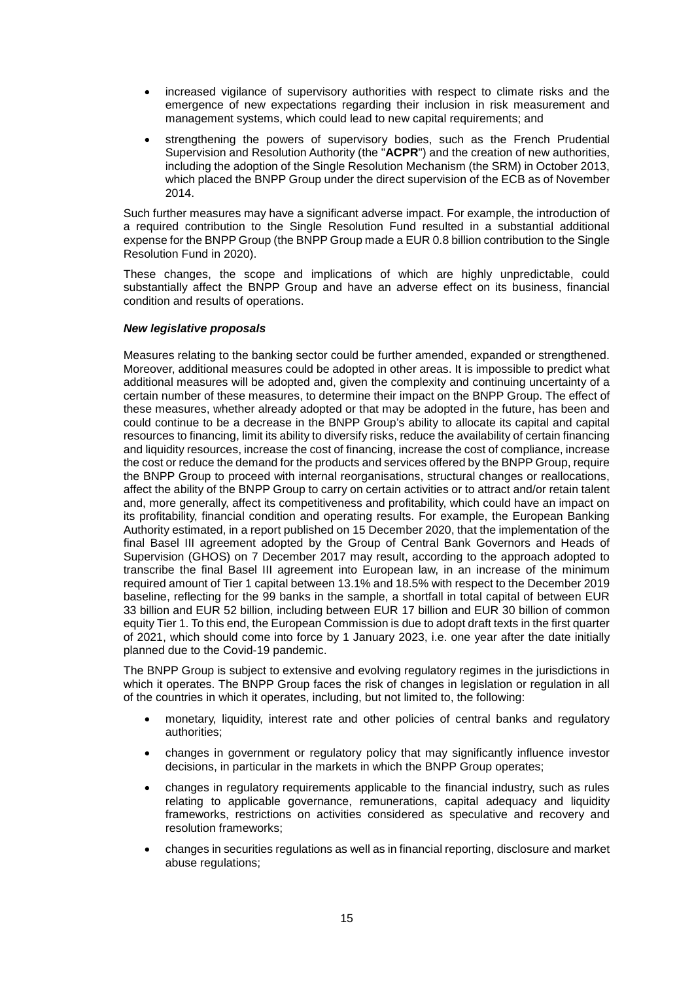- increased vigilance of supervisory authorities with respect to climate risks and the emergence of new expectations regarding their inclusion in risk measurement and management systems, which could lead to new capital requirements; and
- strengthening the powers of supervisory bodies, such as the French Prudential Supervision and Resolution Authority (the "**ACPR**") and the creation of new authorities, including the adoption of the Single Resolution Mechanism (the SRM) in October 2013, which placed the BNPP Group under the direct supervision of the ECB as of November 2014.

Such further measures may have a significant adverse impact. For example, the introduction of a required contribution to the Single Resolution Fund resulted in a substantial additional expense for the BNPP Group (the BNPP Group made a EUR 0.8 billion contribution to the Single Resolution Fund in 2020).

These changes, the scope and implications of which are highly unpredictable, could substantially affect the BNPP Group and have an adverse effect on its business, financial condition and results of operations.

### *New legislative proposals*

Measures relating to the banking sector could be further amended, expanded or strengthened. Moreover, additional measures could be adopted in other areas. It is impossible to predict what additional measures will be adopted and, given the complexity and continuing uncertainty of a certain number of these measures, to determine their impact on the BNPP Group. The effect of these measures, whether already adopted or that may be adopted in the future, has been and could continue to be a decrease in the BNPP Group's ability to allocate its capital and capital resources to financing, limit its ability to diversify risks, reduce the availability of certain financing and liquidity resources, increase the cost of financing, increase the cost of compliance, increase the cost or reduce the demand for the products and services offered by the BNPP Group, require the BNPP Group to proceed with internal reorganisations, structural changes or reallocations, affect the ability of the BNPP Group to carry on certain activities or to attract and/or retain talent and, more generally, affect its competitiveness and profitability, which could have an impact on its profitability, financial condition and operating results. For example, the European Banking Authority estimated, in a report published on 15 December 2020, that the implementation of the final Basel III agreement adopted by the Group of Central Bank Governors and Heads of Supervision (GHOS) on 7 December 2017 may result, according to the approach adopted to transcribe the final Basel III agreement into European law, in an increase of the minimum required amount of Tier 1 capital between 13.1% and 18.5% with respect to the December 2019 baseline, reflecting for the 99 banks in the sample, a shortfall in total capital of between EUR 33 billion and EUR 52 billion, including between EUR 17 billion and EUR 30 billion of common equity Tier 1. To this end, the European Commission is due to adopt draft texts in the first quarter of 2021, which should come into force by 1 January 2023, i.e. one year after the date initially planned due to the Covid-19 pandemic.

The BNPP Group is subject to extensive and evolving regulatory regimes in the jurisdictions in which it operates. The BNPP Group faces the risk of changes in legislation or regulation in all of the countries in which it operates, including, but not limited to, the following:

- monetary, liquidity, interest rate and other policies of central banks and regulatory authorities;
- changes in government or regulatory policy that may significantly influence investor decisions, in particular in the markets in which the BNPP Group operates;
- changes in regulatory requirements applicable to the financial industry, such as rules relating to applicable governance, remunerations, capital adequacy and liquidity frameworks, restrictions on activities considered as speculative and recovery and resolution frameworks;
- changes in securities regulations as well as in financial reporting, disclosure and market abuse regulations;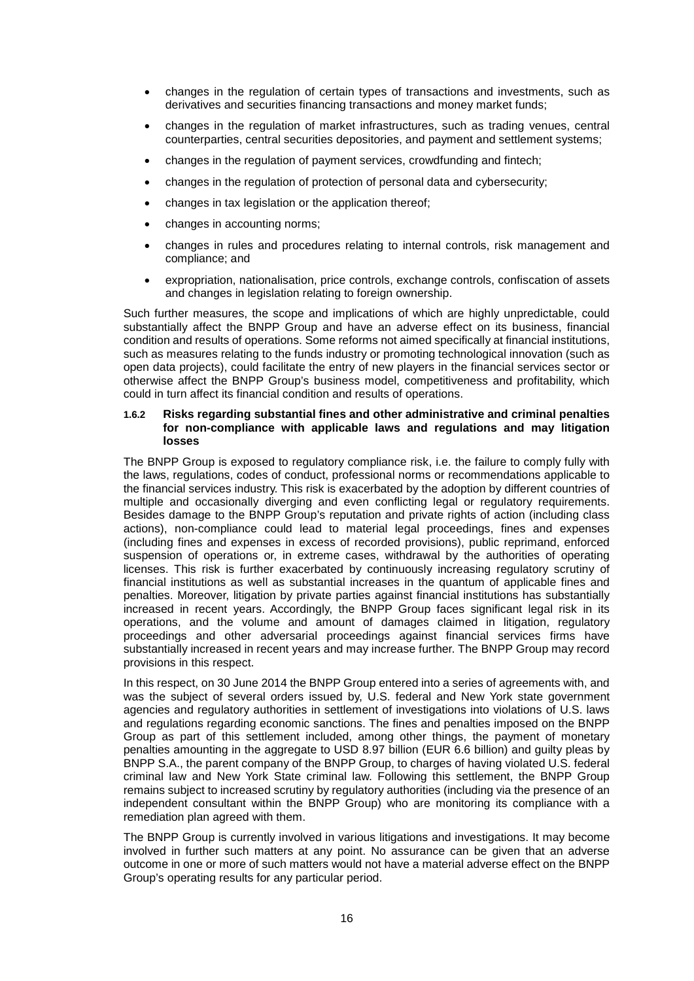- changes in the regulation of certain types of transactions and investments, such as derivatives and securities financing transactions and money market funds;
- changes in the regulation of market infrastructures, such as trading venues, central counterparties, central securities depositories, and payment and settlement systems;
- changes in the regulation of payment services, crowdfunding and fintech;
- changes in the regulation of protection of personal data and cybersecurity;
- changes in tax legislation or the application thereof;
- changes in accounting norms;
- changes in rules and procedures relating to internal controls, risk management and compliance; and
- expropriation, nationalisation, price controls, exchange controls, confiscation of assets and changes in legislation relating to foreign ownership.

Such further measures, the scope and implications of which are highly unpredictable, could substantially affect the BNPP Group and have an adverse effect on its business, financial condition and results of operations. Some reforms not aimed specifically at financial institutions, such as measures relating to the funds industry or promoting technological innovation (such as open data projects), could facilitate the entry of new players in the financial services sector or otherwise affect the BNPP Group's business model, competitiveness and profitability, which could in turn affect its financial condition and results of operations.

### **1.6.2 Risks regarding substantial fines and other administrative and criminal penalties for non-compliance with applicable laws and regulations and may litigation losses**

The BNPP Group is exposed to regulatory compliance risk, i.e. the failure to comply fully with the laws, regulations, codes of conduct, professional norms or recommendations applicable to the financial services industry. This risk is exacerbated by the adoption by different countries of multiple and occasionally diverging and even conflicting legal or regulatory requirements. Besides damage to the BNPP Group's reputation and private rights of action (including class actions), non-compliance could lead to material legal proceedings, fines and expenses (including fines and expenses in excess of recorded provisions), public reprimand, enforced suspension of operations or, in extreme cases, withdrawal by the authorities of operating licenses. This risk is further exacerbated by continuously increasing regulatory scrutiny of financial institutions as well as substantial increases in the quantum of applicable fines and penalties. Moreover, litigation by private parties against financial institutions has substantially increased in recent years. Accordingly, the BNPP Group faces significant legal risk in its operations, and the volume and amount of damages claimed in litigation, regulatory proceedings and other adversarial proceedings against financial services firms have substantially increased in recent years and may increase further. The BNPP Group may record provisions in this respect.

In this respect, on 30 June 2014 the BNPP Group entered into a series of agreements with, and was the subject of several orders issued by, U.S. federal and New York state government agencies and regulatory authorities in settlement of investigations into violations of U.S. laws and regulations regarding economic sanctions. The fines and penalties imposed on the BNPP Group as part of this settlement included, among other things, the payment of monetary penalties amounting in the aggregate to USD 8.97 billion (EUR 6.6 billion) and guilty pleas by BNPP S.A., the parent company of the BNPP Group, to charges of having violated U.S. federal criminal law and New York State criminal law. Following this settlement, the BNPP Group remains subject to increased scrutiny by regulatory authorities (including via the presence of an independent consultant within the BNPP Group) who are monitoring its compliance with a remediation plan agreed with them.

The BNPP Group is currently involved in various litigations and investigations. It may become involved in further such matters at any point. No assurance can be given that an adverse outcome in one or more of such matters would not have a material adverse effect on the BNPP Group's operating results for any particular period.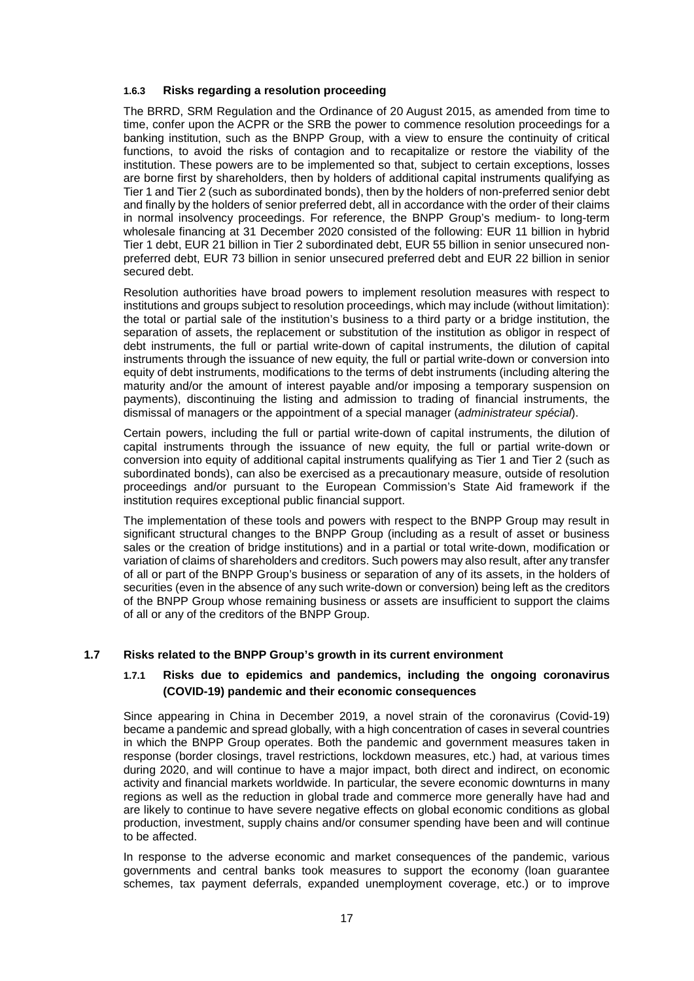### **1.6.3 Risks regarding a resolution proceeding**

The BRRD, SRM Regulation and the Ordinance of 20 August 2015, as amended from time to time, confer upon the ACPR or the SRB the power to commence resolution proceedings for a banking institution, such as the BNPP Group, with a view to ensure the continuity of critical functions, to avoid the risks of contagion and to recapitalize or restore the viability of the institution. These powers are to be implemented so that, subject to certain exceptions, losses are borne first by shareholders, then by holders of additional capital instruments qualifying as Tier 1 and Tier 2 (such as subordinated bonds), then by the holders of non-preferred senior debt and finally by the holders of senior preferred debt, all in accordance with the order of their claims in normal insolvency proceedings. For reference, the BNPP Group's medium- to long-term wholesale financing at 31 December 2020 consisted of the following: EUR 11 billion in hybrid Tier 1 debt, EUR 21 billion in Tier 2 subordinated debt, EUR 55 billion in senior unsecured nonpreferred debt, EUR 73 billion in senior unsecured preferred debt and EUR 22 billion in senior secured debt.

Resolution authorities have broad powers to implement resolution measures with respect to institutions and groups subject to resolution proceedings, which may include (without limitation): the total or partial sale of the institution's business to a third party or a bridge institution, the separation of assets, the replacement or substitution of the institution as obligor in respect of debt instruments, the full or partial write-down of capital instruments, the dilution of capital instruments through the issuance of new equity, the full or partial write-down or conversion into equity of debt instruments, modifications to the terms of debt instruments (including altering the maturity and/or the amount of interest payable and/or imposing a temporary suspension on payments), discontinuing the listing and admission to trading of financial instruments, the dismissal of managers or the appointment of a special manager (*administrateur spécial*).

Certain powers, including the full or partial write-down of capital instruments, the dilution of capital instruments through the issuance of new equity, the full or partial write-down or conversion into equity of additional capital instruments qualifying as Tier 1 and Tier 2 (such as subordinated bonds), can also be exercised as a precautionary measure, outside of resolution proceedings and/or pursuant to the European Commission's State Aid framework if the institution requires exceptional public financial support.

The implementation of these tools and powers with respect to the BNPP Group may result in significant structural changes to the BNPP Group (including as a result of asset or business sales or the creation of bridge institutions) and in a partial or total write-down, modification or variation of claims of shareholders and creditors. Such powers may also result, after any transfer of all or part of the BNPP Group's business or separation of any of its assets, in the holders of securities (even in the absence of any such write-down or conversion) being left as the creditors of the BNPP Group whose remaining business or assets are insufficient to support the claims of all or any of the creditors of the BNPP Group.

### **1.7 Risks related to the BNPP Group's growth in its current environment**

### **1.7.1 Risks due to epidemics and pandemics, including the ongoing coronavirus (COVID-19) pandemic and their economic consequences**

Since appearing in China in December 2019, a novel strain of the coronavirus (Covid-19) became a pandemic and spread globally, with a high concentration of cases in several countries in which the BNPP Group operates. Both the pandemic and government measures taken in response (border closings, travel restrictions, lockdown measures, etc.) had, at various times during 2020, and will continue to have a major impact, both direct and indirect, on economic activity and financial markets worldwide. In particular, the severe economic downturns in many regions as well as the reduction in global trade and commerce more generally have had and are likely to continue to have severe negative effects on global economic conditions as global production, investment, supply chains and/or consumer spending have been and will continue to be affected.

In response to the adverse economic and market consequences of the pandemic, various governments and central banks took measures to support the economy (loan guarantee schemes, tax payment deferrals, expanded unemployment coverage, etc.) or to improve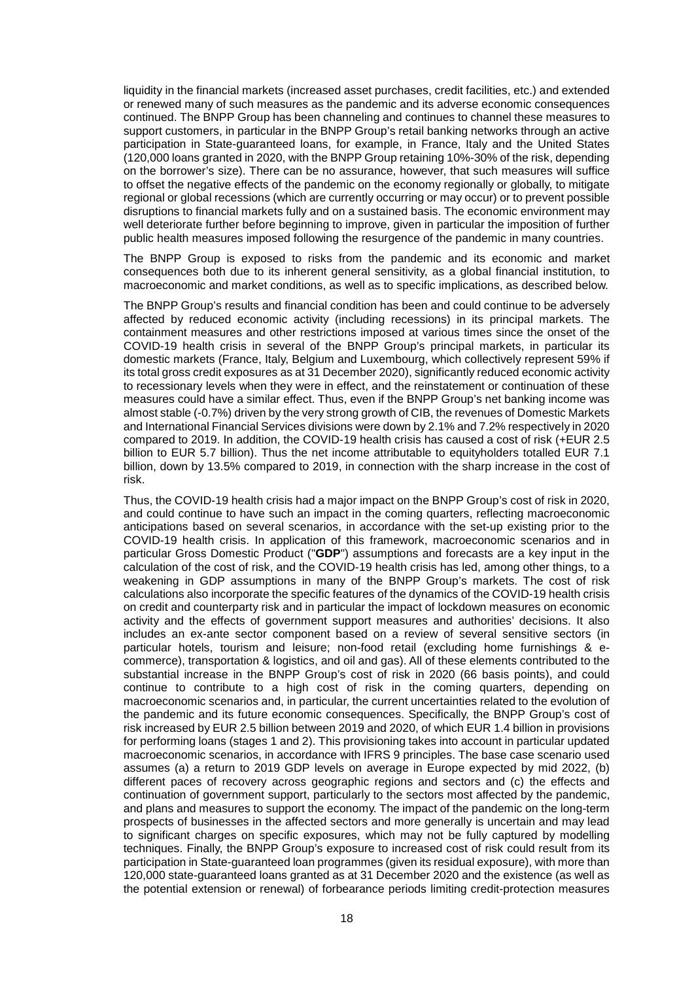liquidity in the financial markets (increased asset purchases, credit facilities, etc.) and extended or renewed many of such measures as the pandemic and its adverse economic consequences continued. The BNPP Group has been channeling and continues to channel these measures to support customers, in particular in the BNPP Group's retail banking networks through an active participation in State-guaranteed loans, for example, in France, Italy and the United States (120,000 loans granted in 2020, with the BNPP Group retaining 10%-30% of the risk, depending on the borrower's size). There can be no assurance, however, that such measures will suffice to offset the negative effects of the pandemic on the economy regionally or globally, to mitigate regional or global recessions (which are currently occurring or may occur) or to prevent possible disruptions to financial markets fully and on a sustained basis. The economic environment may well deteriorate further before beginning to improve, given in particular the imposition of further public health measures imposed following the resurgence of the pandemic in many countries.

The BNPP Group is exposed to risks from the pandemic and its economic and market consequences both due to its inherent general sensitivity, as a global financial institution, to macroeconomic and market conditions, as well as to specific implications, as described below.

The BNPP Group's results and financial condition has been and could continue to be adversely affected by reduced economic activity (including recessions) in its principal markets. The containment measures and other restrictions imposed at various times since the onset of the COVID-19 health crisis in several of the BNPP Group's principal markets, in particular its domestic markets (France, Italy, Belgium and Luxembourg, which collectively represent 59% if its total gross credit exposures as at 31 December 2020), significantly reduced economic activity to recessionary levels when they were in effect, and the reinstatement or continuation of these measures could have a similar effect. Thus, even if the BNPP Group's net banking income was almost stable (-0.7%) driven by the very strong growth of CIB, the revenues of Domestic Markets and International Financial Services divisions were down by 2.1% and 7.2% respectively in 2020 compared to 2019. In addition, the COVID-19 health crisis has caused a cost of risk (+EUR 2.5 billion to EUR 5.7 billion). Thus the net income attributable to equityholders totalled EUR 7.1 billion, down by 13.5% compared to 2019, in connection with the sharp increase in the cost of risk.

Thus, the COVID-19 health crisis had a major impact on the BNPP Group's cost of risk in 2020, and could continue to have such an impact in the coming quarters, reflecting macroeconomic anticipations based on several scenarios, in accordance with the set-up existing prior to the COVID-19 health crisis. In application of this framework, macroeconomic scenarios and in particular Gross Domestic Product ("**GDP**") assumptions and forecasts are a key input in the calculation of the cost of risk, and the COVID-19 health crisis has led, among other things, to a weakening in GDP assumptions in many of the BNPP Group's markets. The cost of risk calculations also incorporate the specific features of the dynamics of the COVID-19 health crisis on credit and counterparty risk and in particular the impact of lockdown measures on economic activity and the effects of government support measures and authorities' decisions. It also includes an ex-ante sector component based on a review of several sensitive sectors (in particular hotels, tourism and leisure; non-food retail (excluding home furnishings & ecommerce), transportation & logistics, and oil and gas). All of these elements contributed to the substantial increase in the BNPP Group's cost of risk in 2020 (66 basis points), and could continue to contribute to a high cost of risk in the coming quarters, depending on macroeconomic scenarios and, in particular, the current uncertainties related to the evolution of the pandemic and its future economic consequences. Specifically, the BNPP Group's cost of risk increased by EUR 2.5 billion between 2019 and 2020, of which EUR 1.4 billion in provisions for performing loans (stages 1 and 2). This provisioning takes into account in particular updated macroeconomic scenarios, in accordance with IFRS 9 principles. The base case scenario used assumes (a) a return to 2019 GDP levels on average in Europe expected by mid 2022, (b) different paces of recovery across geographic regions and sectors and (c) the effects and continuation of government support, particularly to the sectors most affected by the pandemic, and plans and measures to support the economy. The impact of the pandemic on the long-term prospects of businesses in the affected sectors and more generally is uncertain and may lead to significant charges on specific exposures, which may not be fully captured by modelling techniques. Finally, the BNPP Group's exposure to increased cost of risk could result from its participation in State-guaranteed loan programmes (given its residual exposure), with more than 120,000 state-guaranteed loans granted as at 31 December 2020 and the existence (as well as the potential extension or renewal) of forbearance periods limiting credit-protection measures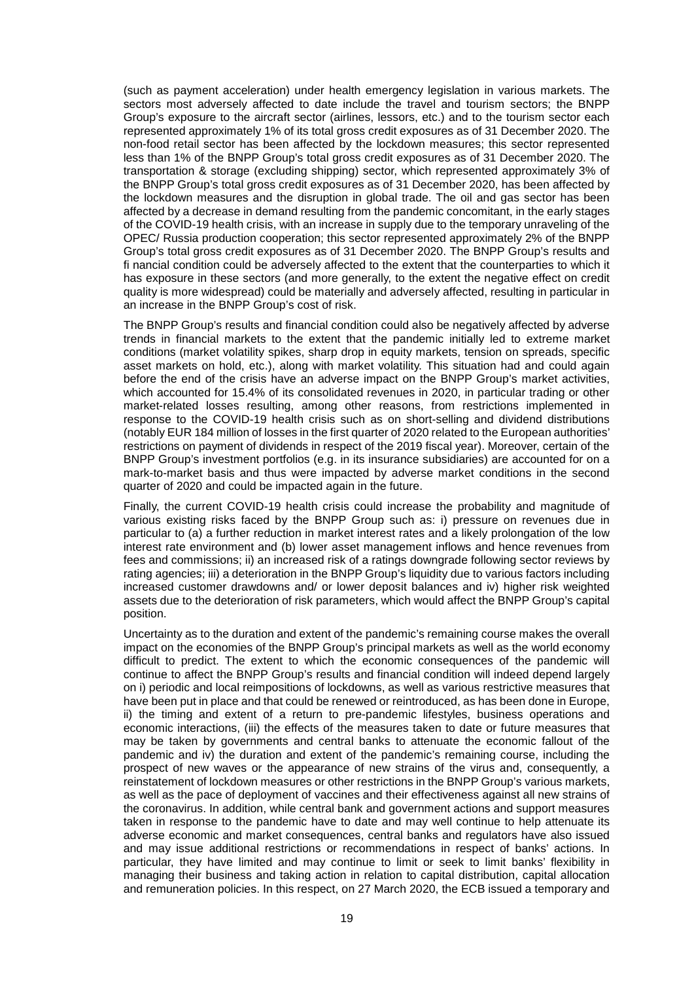(such as payment acceleration) under health emergency legislation in various markets. The sectors most adversely affected to date include the travel and tourism sectors; the BNPP Group's exposure to the aircraft sector (airlines, lessors, etc.) and to the tourism sector each represented approximately 1% of its total gross credit exposures as of 31 December 2020. The non-food retail sector has been affected by the lockdown measures; this sector represented less than 1% of the BNPP Group's total gross credit exposures as of 31 December 2020. The transportation & storage (excluding shipping) sector, which represented approximately 3% of the BNPP Group's total gross credit exposures as of 31 December 2020, has been affected by the lockdown measures and the disruption in global trade. The oil and gas sector has been affected by a decrease in demand resulting from the pandemic concomitant, in the early stages of the COVID-19 health crisis, with an increase in supply due to the temporary unraveling of the OPEC/ Russia production cooperation; this sector represented approximately 2% of the BNPP Group's total gross credit exposures as of 31 December 2020. The BNPP Group's results and fi nancial condition could be adversely affected to the extent that the counterparties to which it has exposure in these sectors (and more generally, to the extent the negative effect on credit quality is more widespread) could be materially and adversely affected, resulting in particular in an increase in the BNPP Group's cost of risk.

The BNPP Group's results and financial condition could also be negatively affected by adverse trends in financial markets to the extent that the pandemic initially led to extreme market conditions (market volatility spikes, sharp drop in equity markets, tension on spreads, specific asset markets on hold, etc.), along with market volatility. This situation had and could again before the end of the crisis have an adverse impact on the BNPP Group's market activities, which accounted for 15.4% of its consolidated revenues in 2020, in particular trading or other market-related losses resulting, among other reasons, from restrictions implemented in response to the COVID-19 health crisis such as on short-selling and dividend distributions (notably EUR 184 million of losses in the first quarter of 2020 related to the European authorities' restrictions on payment of dividends in respect of the 2019 fiscal year). Moreover, certain of the BNPP Group's investment portfolios (e.g. in its insurance subsidiaries) are accounted for on a mark-to-market basis and thus were impacted by adverse market conditions in the second quarter of 2020 and could be impacted again in the future.

Finally, the current COVID-19 health crisis could increase the probability and magnitude of various existing risks faced by the BNPP Group such as: i) pressure on revenues due in particular to (a) a further reduction in market interest rates and a likely prolongation of the low interest rate environment and (b) lower asset management inflows and hence revenues from fees and commissions; ii) an increased risk of a ratings downgrade following sector reviews by rating agencies; iii) a deterioration in the BNPP Group's liquidity due to various factors including increased customer drawdowns and/ or lower deposit balances and iv) higher risk weighted assets due to the deterioration of risk parameters, which would affect the BNPP Group's capital position.

Uncertainty as to the duration and extent of the pandemic's remaining course makes the overall impact on the economies of the BNPP Group's principal markets as well as the world economy difficult to predict. The extent to which the economic consequences of the pandemic will continue to affect the BNPP Group's results and financial condition will indeed depend largely on i) periodic and local reimpositions of lockdowns, as well as various restrictive measures that have been put in place and that could be renewed or reintroduced, as has been done in Europe, ii) the timing and extent of a return to pre-pandemic lifestyles, business operations and economic interactions, (iii) the effects of the measures taken to date or future measures that may be taken by governments and central banks to attenuate the economic fallout of the pandemic and iv) the duration and extent of the pandemic's remaining course, including the prospect of new waves or the appearance of new strains of the virus and, consequently, a reinstatement of lockdown measures or other restrictions in the BNPP Group's various markets, as well as the pace of deployment of vaccines and their effectiveness against all new strains of the coronavirus. In addition, while central bank and government actions and support measures taken in response to the pandemic have to date and may well continue to help attenuate its adverse economic and market consequences, central banks and regulators have also issued and may issue additional restrictions or recommendations in respect of banks' actions. In particular, they have limited and may continue to limit or seek to limit banks' flexibility in managing their business and taking action in relation to capital distribution, capital allocation and remuneration policies. In this respect, on 27 March 2020, the ECB issued a temporary and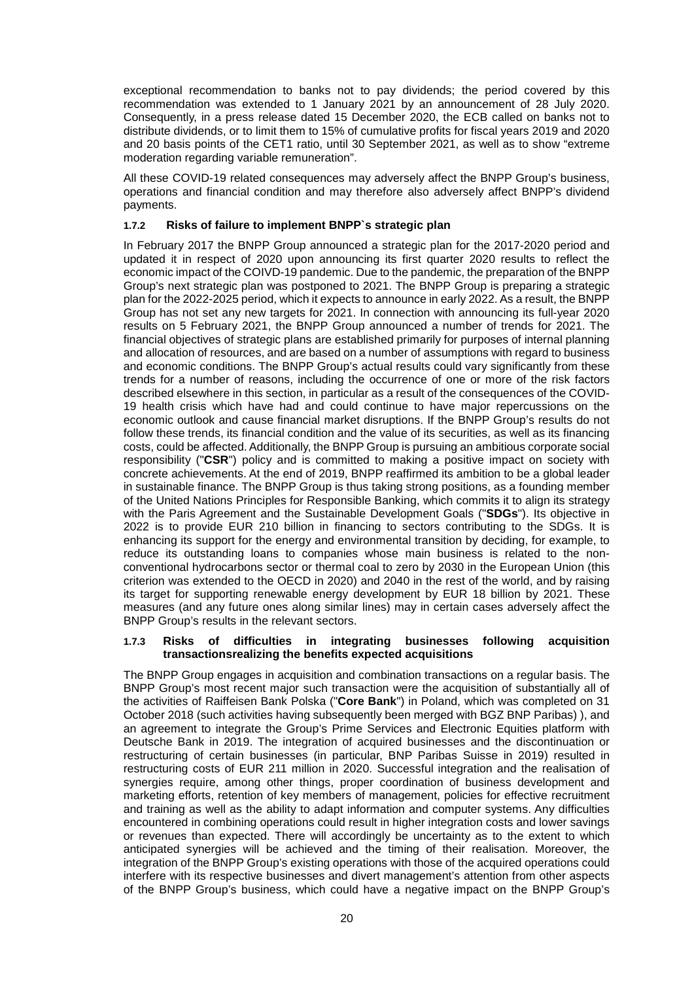exceptional recommendation to banks not to pay dividends; the period covered by this recommendation was extended to 1 January 2021 by an announcement of 28 July 2020. Consequently, in a press release dated 15 December 2020, the ECB called on banks not to distribute dividends, or to limit them to 15% of cumulative profits for fiscal years 2019 and 2020 and 20 basis points of the CET1 ratio, until 30 September 2021, as well as to show "extreme moderation regarding variable remuneration".

All these COVID-19 related consequences may adversely affect the BNPP Group's business, operations and financial condition and may therefore also adversely affect BNPP's dividend payments.

### **1.7.2 Risks of failure to implement BNPP`s strategic plan**

In February 2017 the BNPP Group announced a strategic plan for the 2017-2020 period and updated it in respect of 2020 upon announcing its first quarter 2020 results to reflect the economic impact of the COIVD-19 pandemic. Due to the pandemic, the preparation of the BNPP Group's next strategic plan was postponed to 2021. The BNPP Group is preparing a strategic plan for the 2022-2025 period, which it expects to announce in early 2022. As a result, the BNPP Group has not set any new targets for 2021. In connection with announcing its full-year 2020 results on 5 February 2021, the BNPP Group announced a number of trends for 2021. The financial objectives of strategic plans are established primarily for purposes of internal planning and allocation of resources, and are based on a number of assumptions with regard to business and economic conditions. The BNPP Group's actual results could vary significantly from these trends for a number of reasons, including the occurrence of one or more of the risk factors described elsewhere in this section, in particular as a result of the consequences of the COVID-19 health crisis which have had and could continue to have major repercussions on the economic outlook and cause financial market disruptions. If the BNPP Group's results do not follow these trends, its financial condition and the value of its securities, as well as its financing costs, could be affected. Additionally, the BNPP Group is pursuing an ambitious corporate social responsibility ("**CSR**") policy and is committed to making a positive impact on society with concrete achievements. At the end of 2019, BNPP reaffirmed its ambition to be a global leader in sustainable finance. The BNPP Group is thus taking strong positions, as a founding member of the United Nations Principles for Responsible Banking, which commits it to align its strategy with the Paris Agreement and the Sustainable Development Goals ("**SDGs**"). Its objective in 2022 is to provide EUR 210 billion in financing to sectors contributing to the SDGs. It is enhancing its support for the energy and environmental transition by deciding, for example, to reduce its outstanding loans to companies whose main business is related to the nonconventional hydrocarbons sector or thermal coal to zero by 2030 in the European Union (this criterion was extended to the OECD in 2020) and 2040 in the rest of the world, and by raising its target for supporting renewable energy development by EUR 18 billion by 2021. These measures (and any future ones along similar lines) may in certain cases adversely affect the BNPP Group's results in the relevant sectors.

### **1.7.3 Risks of difficulties in integrating businesses following acquisition transactionsrealizing the benefits expected acquisitions**

The BNPP Group engages in acquisition and combination transactions on a regular basis. The BNPP Group's most recent major such transaction were the acquisition of substantially all of the activities of Raiffeisen Bank Polska ("**Core Bank**") in Poland, which was completed on 31 October 2018 (such activities having subsequently been merged with BGZ BNP Paribas) ), and an agreement to integrate the Group's Prime Services and Electronic Equities platform with Deutsche Bank in 2019. The integration of acquired businesses and the discontinuation or restructuring of certain businesses (in particular, BNP Paribas Suisse in 2019) resulted in restructuring costs of EUR 211 million in 2020. Successful integration and the realisation of synergies require, among other things, proper coordination of business development and marketing efforts, retention of key members of management, policies for effective recruitment and training as well as the ability to adapt information and computer systems. Any difficulties encountered in combining operations could result in higher integration costs and lower savings or revenues than expected. There will accordingly be uncertainty as to the extent to which anticipated synergies will be achieved and the timing of their realisation. Moreover, the integration of the BNPP Group's existing operations with those of the acquired operations could interfere with its respective businesses and divert management's attention from other aspects of the BNPP Group's business, which could have a negative impact on the BNPP Group's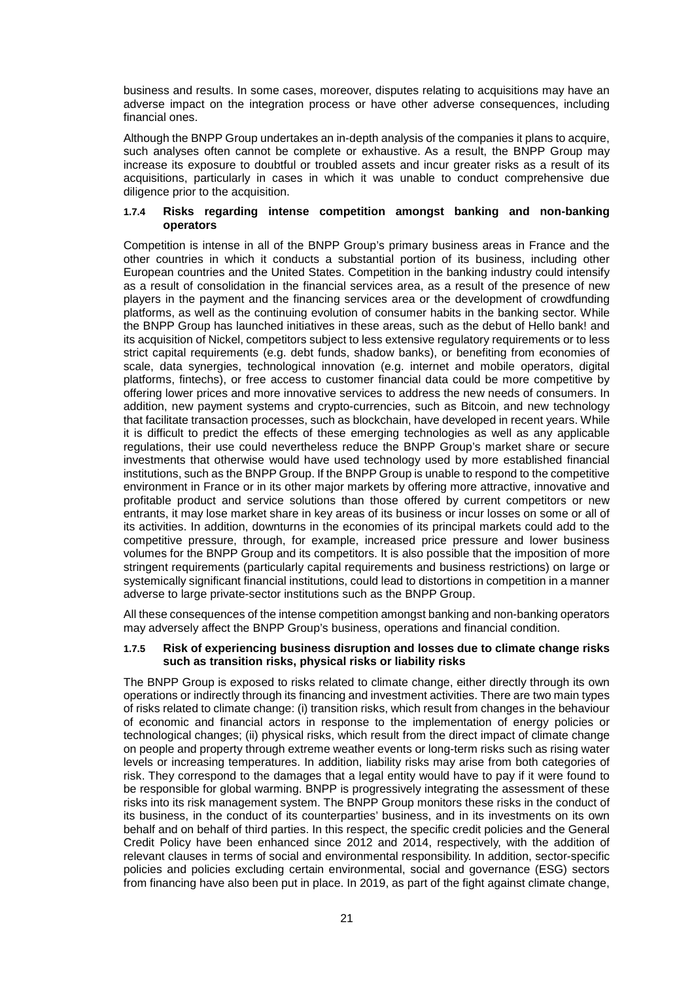business and results. In some cases, moreover, disputes relating to acquisitions may have an adverse impact on the integration process or have other adverse consequences, including financial ones.

Although the BNPP Group undertakes an in-depth analysis of the companies it plans to acquire, such analyses often cannot be complete or exhaustive. As a result, the BNPP Group may increase its exposure to doubtful or troubled assets and incur greater risks as a result of its acquisitions, particularly in cases in which it was unable to conduct comprehensive due diligence prior to the acquisition.

### **1.7.4 Risks regarding intense competition amongst banking and non-banking operators**

Competition is intense in all of the BNPP Group's primary business areas in France and the other countries in which it conducts a substantial portion of its business, including other European countries and the United States. Competition in the banking industry could intensify as a result of consolidation in the financial services area, as a result of the presence of new players in the payment and the financing services area or the development of crowdfunding platforms, as well as the continuing evolution of consumer habits in the banking sector. While the BNPP Group has launched initiatives in these areas, such as the debut of Hello bank! and its acquisition of Nickel, competitors subject to less extensive regulatory requirements or to less strict capital requirements (e.g. debt funds, shadow banks), or benefiting from economies of scale, data synergies, technological innovation (e.g. internet and mobile operators, digital platforms, fintechs), or free access to customer financial data could be more competitive by offering lower prices and more innovative services to address the new needs of consumers. In addition, new payment systems and crypto-currencies, such as Bitcoin, and new technology that facilitate transaction processes, such as blockchain, have developed in recent years. While it is difficult to predict the effects of these emerging technologies as well as any applicable regulations, their use could nevertheless reduce the BNPP Group's market share or secure investments that otherwise would have used technology used by more established financial institutions, such as the BNPP Group. If the BNPP Group is unable to respond to the competitive environment in France or in its other major markets by offering more attractive, innovative and profitable product and service solutions than those offered by current competitors or new entrants, it may lose market share in key areas of its business or incur losses on some or all of its activities. In addition, downturns in the economies of its principal markets could add to the competitive pressure, through, for example, increased price pressure and lower business volumes for the BNPP Group and its competitors. It is also possible that the imposition of more stringent requirements (particularly capital requirements and business restrictions) on large or systemically significant financial institutions, could lead to distortions in competition in a manner adverse to large private-sector institutions such as the BNPP Group.

All these consequences of the intense competition amongst banking and non-banking operators may adversely affect the BNPP Group's business, operations and financial condition.

### **1.7.5 Risk of experiencing business disruption and losses due to climate change risks such as transition risks, physical risks or liability risks**

The BNPP Group is exposed to risks related to climate change, either directly through its own operations or indirectly through its financing and investment activities. There are two main types of risks related to climate change: (i) transition risks, which result from changes in the behaviour of economic and financial actors in response to the implementation of energy policies or technological changes; (ii) physical risks, which result from the direct impact of climate change on people and property through extreme weather events or long-term risks such as rising water levels or increasing temperatures. In addition, liability risks may arise from both categories of risk. They correspond to the damages that a legal entity would have to pay if it were found to be responsible for global warming. BNPP is progressively integrating the assessment of these risks into its risk management system. The BNPP Group monitors these risks in the conduct of its business, in the conduct of its counterparties' business, and in its investments on its own behalf and on behalf of third parties. In this respect, the specific credit policies and the General Credit Policy have been enhanced since 2012 and 2014, respectively, with the addition of relevant clauses in terms of social and environmental responsibility. In addition, sector-specific policies and policies excluding certain environmental, social and governance (ESG) sectors from financing have also been put in place. In 2019, as part of the fight against climate change,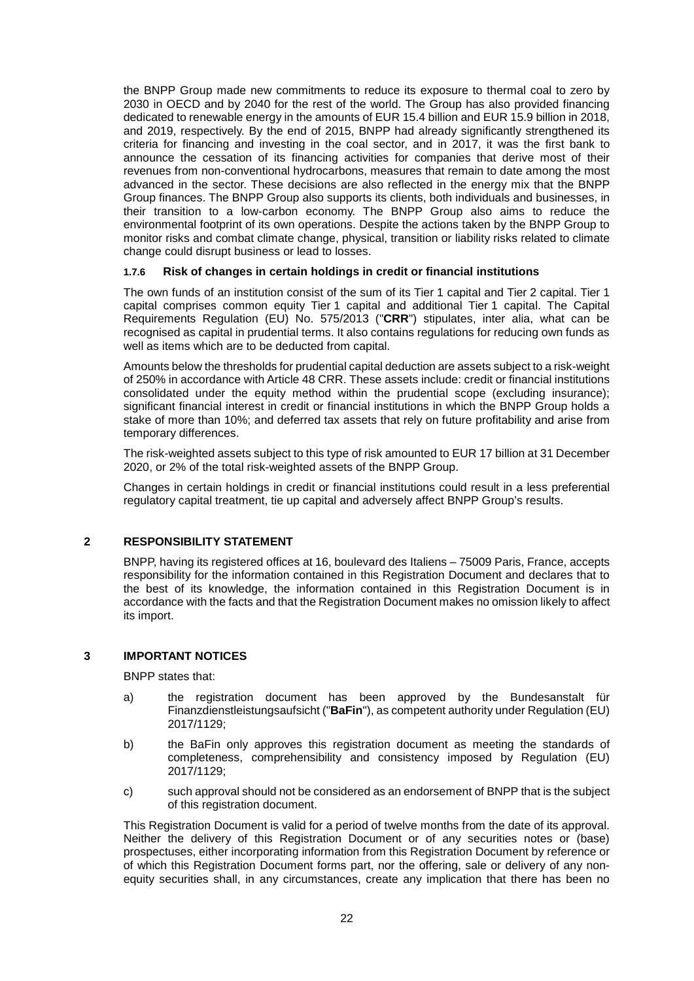the BNPP Group made new commitments to reduce its exposure to thermal coal to zero by 2030 in OECD and by 2040 for the rest of the world. The Group has also provided financing dedicated to renewable energy in the amounts of EUR 15.4 billion and EUR 15.9 billion in 2018, and 2019, respectively. By the end of 2015, BNPP had already significantly strengthened its criteria for financing and investing in the coal sector, and in 2017, it was the first bank to announce the cessation of its financing activities for companies that derive most of their revenues from non-conventional hydrocarbons, measures that remain to date among the most advanced in the sector. These decisions are also reflected in the energy mix that the BNPP Group finances. The BNPP Group also supports its clients, both individuals and businesses, in their transition to a low-carbon economy. The BNPP Group also aims to reduce the environmental footprint of its own operations. Despite the actions taken by the BNPP Group to monitor risks and combat climate change, physical, transition or liability risks related to climate change could disrupt business or lead to losses.

### **1.7.6 Risk of changes in certain holdings in credit or financial institutions**

The own funds of an institution consist of the sum of its Tier 1 capital and Tier 2 capital. Tier 1 capital comprises common equity Tier 1 capital and additional Tier 1 capital. The Capital Requirements Regulation (EU) No. 575/2013 ("**CRR**") stipulates, inter alia, what can be recognised as capital in prudential terms. It also contains regulations for reducing own funds as well as items which are to be deducted from capital.

Amounts below the thresholds for prudential capital deduction are assets subject to a risk-weight of 250% in accordance with Article 48 CRR. These assets include: credit or financial institutions consolidated under the equity method within the prudential scope (excluding insurance); significant financial interest in credit or financial institutions in which the BNPP Group holds a stake of more than 10%; and deferred tax assets that rely on future profitability and arise from temporary differences.

The risk-weighted assets subject to this type of risk amounted to EUR 17 billion at 31 December 2020, or 2% of the total risk-weighted assets of the BNPP Group.

Changes in certain holdings in credit or financial institutions could result in a less preferential regulatory capital treatment, tie up capital and adversely affect BNPP Group's results.

### **2 RESPONSIBILITY STATEMENT**

BNPP, having its registered offices at 16, boulevard des Italiens – 75009 Paris, France, accepts responsibility for the information contained in this Registration Document and declares that to the best of its knowledge, the information contained in this Registration Document is in accordance with the facts and that the Registration Document makes no omission likely to affect its import.

### **3 IMPORTANT NOTICES**

BNPP states that:

- a) the registration document has been approved by the Bundesanstalt für Finanzdienstleistungsaufsicht ("**BaFin**"), as competent authority under Regulation (EU) 2017/1129;
- b) the BaFin only approves this registration document as meeting the standards of completeness, comprehensibility and consistency imposed by Regulation (EU) 2017/1129;
- c) such approval should not be considered as an endorsement of BNPP that is the subject of this registration document.

This Registration Document is valid for a period of twelve months from the date of its approval. Neither the delivery of this Registration Document or of any securities notes or (base) prospectuses, either incorporating information from this Registration Document by reference or of which this Registration Document forms part, nor the offering, sale or delivery of any nonequity securities shall, in any circumstances, create any implication that there has been no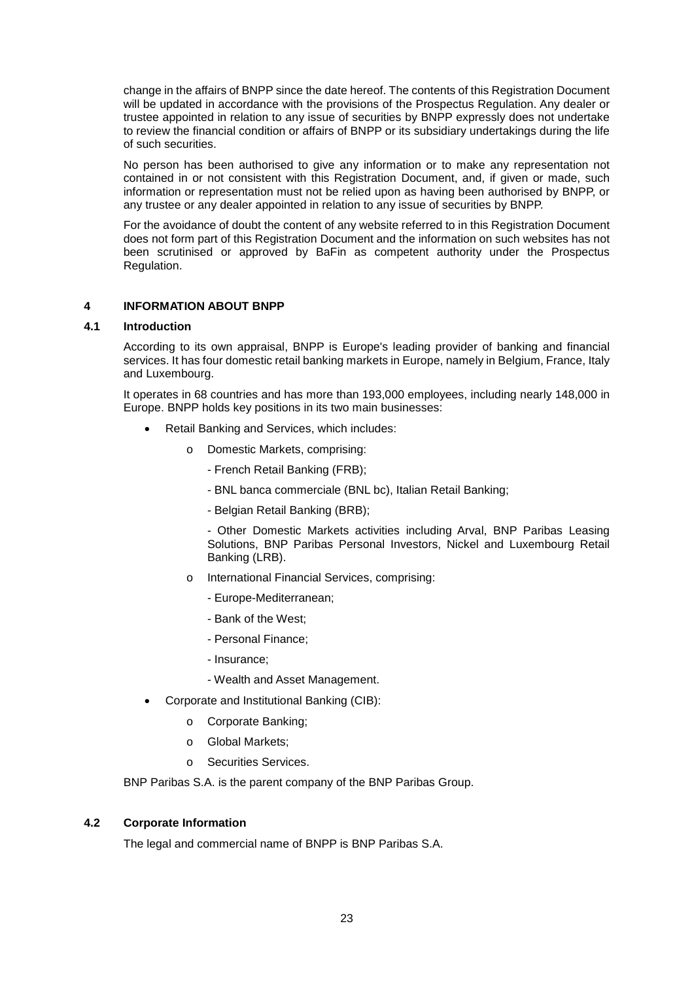change in the affairs of BNPP since the date hereof. The contents of this Registration Document will be updated in accordance with the provisions of the Prospectus Regulation. Any dealer or trustee appointed in relation to any issue of securities by BNPP expressly does not undertake to review the financial condition or affairs of BNPP or its subsidiary undertakings during the life of such securities.

No person has been authorised to give any information or to make any representation not contained in or not consistent with this Registration Document, and, if given or made, such information or representation must not be relied upon as having been authorised by BNPP, or any trustee or any dealer appointed in relation to any issue of securities by BNPP.

For the avoidance of doubt the content of any website referred to in this Registration Document does not form part of this Registration Document and the information on such websites has not been scrutinised or approved by BaFin as competent authority under the Prospectus Regulation.

### **4 INFORMATION ABOUT BNPP**

### **4.1 Introduction**

According to its own appraisal, BNPP is Europe's leading provider of banking and financial services. It has four domestic retail banking markets in Europe, namely in Belgium, France, Italy and Luxembourg.

It operates in 68 countries and has more than 193,000 employees, including nearly 148,000 in Europe. BNPP holds key positions in its two main businesses:

- Retail Banking and Services, which includes:
	- o Domestic Markets, comprising:
		- French Retail Banking (FRB);
		- BNL banca commerciale (BNL bc), Italian Retail Banking;
		- Belgian Retail Banking (BRB);

- Other Domestic Markets activities including Arval, BNP Paribas Leasing Solutions, BNP Paribas Personal Investors, Nickel and Luxembourg Retail Banking (LRB).

- o International Financial Services, comprising:
	- Europe-Mediterranean;
	- Bank of the West;
	- Personal Finance;
	- Insurance;
	- Wealth and Asset Management.
- Corporate and Institutional Banking (CIB):
	- o Corporate Banking;
	- o Global Markets;
	- o Securities Services.

BNP Paribas S.A. is the parent company of the BNP Paribas Group.

### **4.2 Corporate Information**

The legal and commercial name of BNPP is BNP Paribas S.A.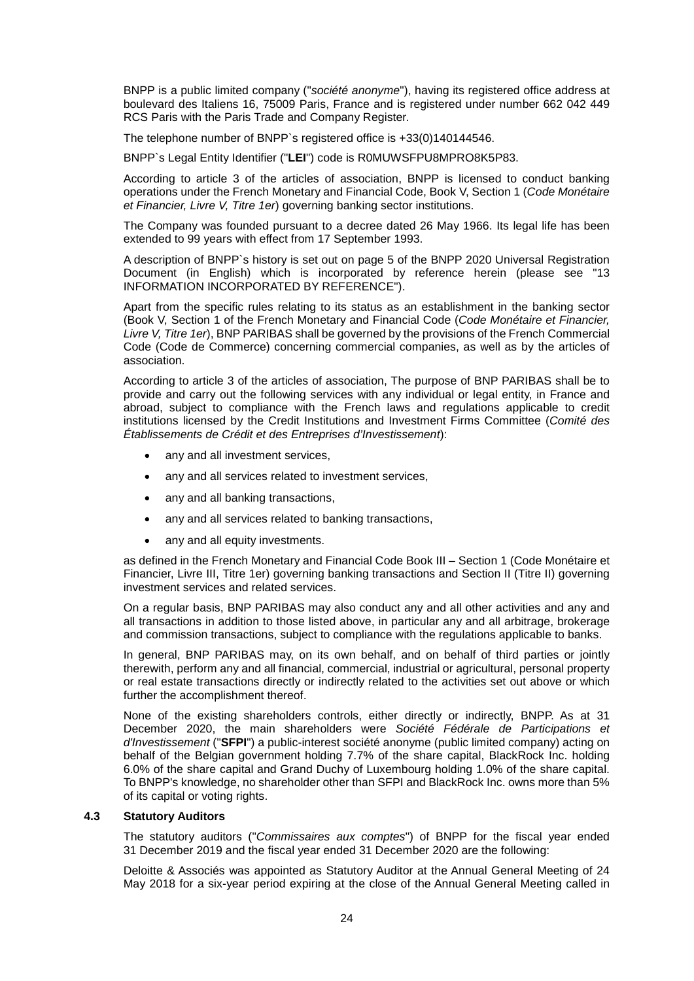BNPP is a public limited company ("*société anonyme*"), having its registered office address at boulevard des Italiens 16, 75009 Paris, France and is registered under number 662 042 449 RCS Paris with the Paris Trade and Company Register.

The telephone number of BNPP`s registered office is +33(0)140144546.

BNPP`s Legal Entity Identifier ("**LEI**") code is R0MUWSFPU8MPRO8K5P83.

According to article 3 of the articles of association, BNPP is licensed to conduct banking operations under the French Monetary and Financial Code, Book V, Section 1 (*Code Monétaire et Financier, Livre V, Titre 1er*) governing banking sector institutions.

The Company was founded pursuant to a decree dated 26 May 1966. Its legal life has been extended to 99 years with effect from 17 September 1993.

A description of BNPP`s history is set out on page 5 of the BNPP 2020 Universal Registration Document (in English) which is incorporated by reference herein (please see "13 INFORMATION INCORPORATED BY REFERENCE").

Apart from the specific rules relating to its status as an establishment in the banking sector (Book V, Section 1 of the French Monetary and Financial Code (*Code Monétaire et Financier, Livre V, Titre 1er*), BNP PARIBAS shall be governed by the provisions of the French Commercial Code (Code de Commerce) concerning commercial companies, as well as by the articles of association.

According to article 3 of the articles of association, The purpose of BNP PARIBAS shall be to provide and carry out the following services with any individual or legal entity, in France and abroad, subject to compliance with the French laws and regulations applicable to credit institutions licensed by the Credit Institutions and Investment Firms Committee (*Comité des Établissements de Crédit et des Entreprises d'Investissement*):

- any and all investment services,
- any and all services related to investment services,
- any and all banking transactions,
- any and all services related to banking transactions,
- any and all equity investments.

as defined in the French Monetary and Financial Code Book III – Section 1 (Code Monétaire et Financier, Livre III, Titre 1er) governing banking transactions and Section II (Titre II) governing investment services and related services.

On a regular basis, BNP PARIBAS may also conduct any and all other activities and any and all transactions in addition to those listed above, in particular any and all arbitrage, brokerage and commission transactions, subject to compliance with the regulations applicable to banks.

In general, BNP PARIBAS may, on its own behalf, and on behalf of third parties or jointly therewith, perform any and all financial, commercial, industrial or agricultural, personal property or real estate transactions directly or indirectly related to the activities set out above or which further the accomplishment thereof.

None of the existing shareholders controls, either directly or indirectly, BNPP. As at 31 December 2020, the main shareholders were *Société Fédérale de Participations et d'Investissement* ("**SFPI**") a public-interest société anonyme (public limited company) acting on behalf of the Belgian government holding 7.7% of the share capital, BlackRock Inc. holding 6.0% of the share capital and Grand Duchy of Luxembourg holding 1.0% of the share capital. To BNPP's knowledge, no shareholder other than SFPI and BlackRock Inc. owns more than 5% of its capital or voting rights.

### **4.3 Statutory Auditors**

The statutory auditors ("*Commissaires aux comptes*") of BNPP for the fiscal year ended 31 December 2019 and the fiscal year ended 31 December 2020 are the following:

Deloitte & Associés was appointed as Statutory Auditor at the Annual General Meeting of 24 May 2018 for a six-year period expiring at the close of the Annual General Meeting called in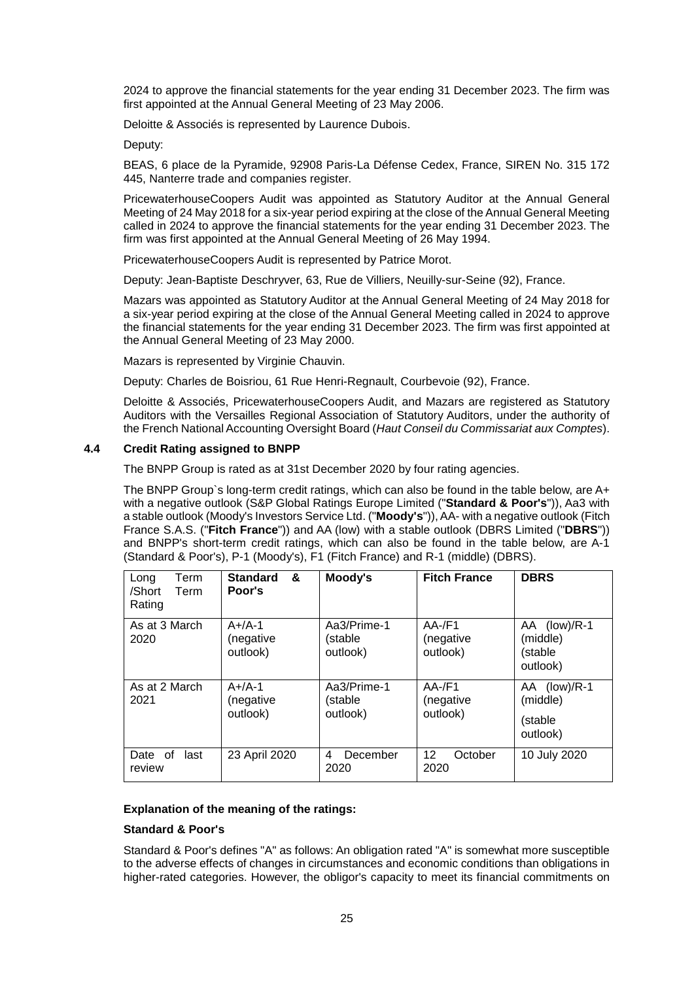2024 to approve the financial statements for the year ending 31 December 2023. The firm was first appointed at the Annual General Meeting of 23 May 2006.

Deloitte & Associés is represented by Laurence Dubois.

Deputy:

BEAS, 6 place de la Pyramide, 92908 Paris-La Défense Cedex, France, SIREN No. 315 172 445, Nanterre trade and companies register.

PricewaterhouseCoopers Audit was appointed as Statutory Auditor at the Annual General Meeting of 24 May 2018 for a six-year period expiring at the close of the Annual General Meeting called in 2024 to approve the financial statements for the year ending 31 December 2023. The firm was first appointed at the Annual General Meeting of 26 May 1994.

PricewaterhouseCoopers Audit is represented by Patrice Morot.

Deputy: Jean-Baptiste Deschryver, 63, Rue de Villiers, Neuilly-sur-Seine (92), France.

Mazars was appointed as Statutory Auditor at the Annual General Meeting of 24 May 2018 for a six-year period expiring at the close of the Annual General Meeting called in 2024 to approve the financial statements for the year ending 31 December 2023. The firm was first appointed at the Annual General Meeting of 23 May 2000.

Mazars is represented by Virginie Chauvin.

Deputy: Charles de Boisriou, 61 Rue Henri-Regnault, Courbevoie (92), France.

Deloitte & Associés, PricewaterhouseCoopers Audit, and Mazars are registered as Statutory Auditors with the Versailles Regional Association of Statutory Auditors, under the authority of the French National Accounting Oversight Board (*Haut Conseil du Commissariat aux Comptes*).

### **4.4 Credit Rating assigned to BNPP**

The BNPP Group is rated as at 31st December 2020 by four rating agencies.

The BNPP Group`s long-term credit ratings, which can also be found in the table below, are A+ with a negative outlook (S&P Global Ratings Europe Limited ("**Standard & Poor's**")), Aa3 with a stable outlook (Moody's Investors Service Ltd. ("**Moody's**")), AA- with a negative outlook (Fitch France S.A.S. ("**Fitch France**")) and AA (low) with a stable outlook (DBRS Limited ("**DBRS**")) and BNPP's short-term credit ratings, which can also be found in the table below, are A-1 (Standard & Poor's), P-1 (Moody's), F1 (Fitch France) and R-1 (middle) (DBRS).

| Term<br>Long<br>/Short<br>Term<br>Rating | <b>Standard</b><br>&<br>Poor's    | Moody's                            | <b>Fitch France</b>                | <b>DBRS</b>                                            |
|------------------------------------------|-----------------------------------|------------------------------------|------------------------------------|--------------------------------------------------------|
| As at 3 March<br>2020                    | $A+/A-1$<br>(negative<br>outlook) | Aa3/Prime-1<br>(stable<br>outlook) | $AA$ -/F1<br>(negative<br>outlook) | AA (low)/R-1<br>(middle)<br>(stable<br>outlook)        |
| As at 2 March<br>2021                    | $A+/A-1$<br>(negative<br>outlook) | Aa3/Prime-1<br>(stable<br>outlook) | $AA$ -/F1<br>(negative<br>outlook) | $(low)/R-1$<br>AA -<br>(middle)<br>(stable<br>outlook) |
| Date of<br>last<br>review                | 23 April 2020                     | December<br>4<br>2020              | 12<br>October<br>2020              | 10 July 2020                                           |

### **Explanation of the meaning of the ratings:**

### **Standard & Poor's**

Standard & Poor's defines "A" as follows: An obligation rated "A" is somewhat more susceptible to the adverse effects of changes in circumstances and economic conditions than obligations in higher-rated categories. However, the obligor's capacity to meet its financial commitments on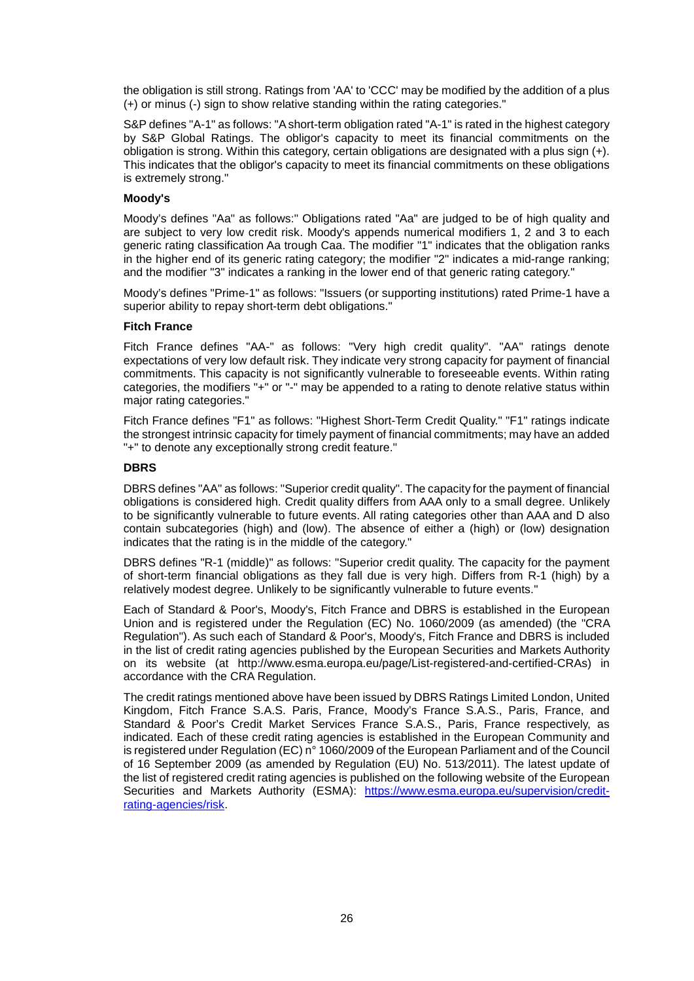the obligation is still strong. Ratings from 'AA' to 'CCC' may be modified by the addition of a plus (+) or minus (-) sign to show relative standing within the rating categories."

S&P defines "A-1" as follows: "A short-term obligation rated "A-1" is rated in the highest category by S&P Global Ratings. The obligor's capacity to meet its financial commitments on the obligation is strong. Within this category, certain obligations are designated with a plus sign (+). This indicates that the obligor's capacity to meet its financial commitments on these obligations is extremely strong."

### **Moody's**

Moody's defines "Aa" as follows:" Obligations rated "Aa" are judged to be of high quality and are subject to very low credit risk. Moody's appends numerical modifiers 1, 2 and 3 to each generic rating classification Aa trough Caa. The modifier "1" indicates that the obligation ranks in the higher end of its generic rating category; the modifier "2" indicates a mid-range ranking; and the modifier "3" indicates a ranking in the lower end of that generic rating category."

Moody's defines "Prime-1" as follows: "Issuers (or supporting institutions) rated Prime-1 have a superior ability to repay short-term debt obligations."

### **Fitch France**

Fitch France defines "AA-" as follows: "Very high credit quality". "AA" ratings denote expectations of very low default risk. They indicate very strong capacity for payment of financial commitments. This capacity is not significantly vulnerable to foreseeable events. Within rating categories, the modifiers "+" or "-" may be appended to a rating to denote relative status within major rating categories."

Fitch France defines "F1" as follows: "Highest Short-Term Credit Quality." "F1" ratings indicate the strongest intrinsic capacity for timely payment of financial commitments; may have an added "+" to denote any exceptionally strong credit feature."

### **DBRS**

DBRS defines "AA" as follows: "Superior credit quality". The capacity for the payment of financial obligations is considered high. Credit quality differs from AAA only to a small degree. Unlikely to be significantly vulnerable to future events. All rating categories other than AAA and D also contain subcategories (high) and (low). The absence of either a (high) or (low) designation indicates that the rating is in the middle of the category."

DBRS defines "R-1 (middle)" as follows: "Superior credit quality. The capacity for the payment of short-term financial obligations as they fall due is very high. Differs from R-1 (high) by a relatively modest degree. Unlikely to be significantly vulnerable to future events."

Each of Standard & Poor's, Moody's, Fitch France and DBRS is established in the European Union and is registered under the Regulation (EC) No. 1060/2009 (as amended) (the "CRA Regulation"). As such each of Standard & Poor's, Moody's, Fitch France and DBRS is included in the list of credit rating agencies published by the European Securities and Markets Authority on its website (at http://www.esma.europa.eu/page/List-registered-and-certified-CRAs) in accordance with the CRA Regulation.

The credit ratings mentioned above have been issued by DBRS Ratings Limited London, United Kingdom, Fitch France S.A.S. Paris, France, Moody's France S.A.S., Paris, France, and Standard & Poor's Credit Market Services France S.A.S., Paris, France respectively, as indicated. Each of these credit rating agencies is established in the European Community and is registered under Regulation (EC) n° 1060/2009 of the European Parliament and of the Council of 16 September 2009 (as amended by Regulation (EU) No. 513/2011). The latest update of the list of registered credit rating agencies is published on the following website of the European Securities and Markets Authority (ESMA): https://www.esma.europa.eu/supervision/creditrating-agencies/risk.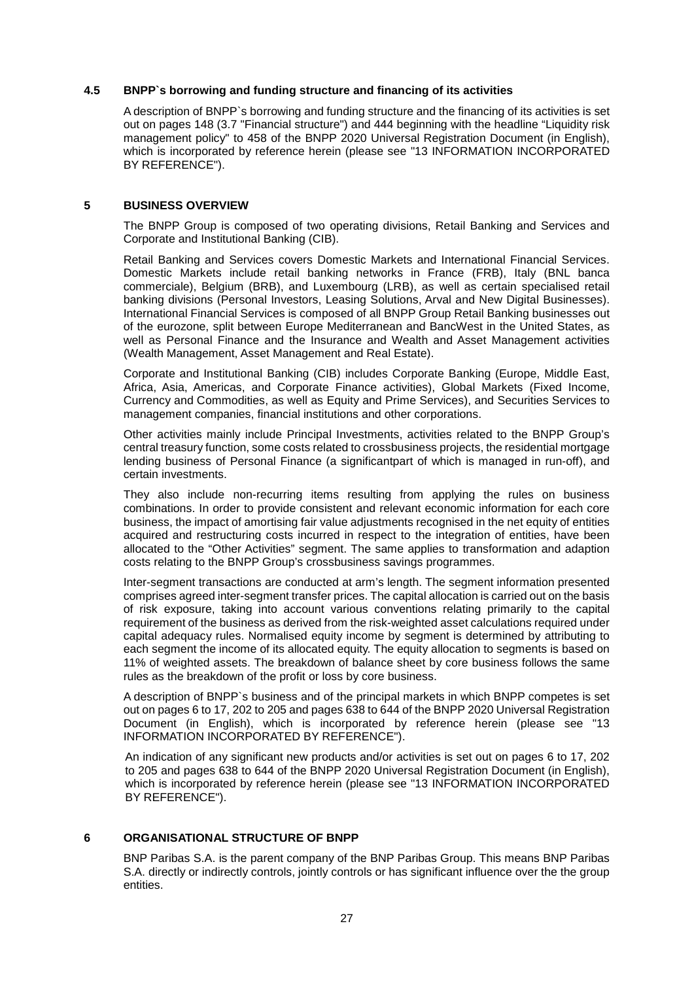### **4.5 BNPP`s borrowing and funding structure and financing of its activities**

A description of BNPP`s borrowing and funding structure and the financing of its activities is set out on pages 148 (3.7 "Financial structure") and 444 beginning with the headline "Liquidity risk management policy" to 458 of the BNPP 2020 Universal Registration Document (in English), which is incorporated by reference herein (please see "13 INFORMATION INCORPORATED BY REFERENCE").

### **5 BUSINESS OVERVIEW**

The BNPP Group is composed of two operating divisions, Retail Banking and Services and Corporate and Institutional Banking (CIB).

Retail Banking and Services covers Domestic Markets and International Financial Services. Domestic Markets include retail banking networks in France (FRB), Italy (BNL banca commerciale), Belgium (BRB), and Luxembourg (LRB), as well as certain specialised retail banking divisions (Personal Investors, Leasing Solutions, Arval and New Digital Businesses). International Financial Services is composed of all BNPP Group Retail Banking businesses out of the eurozone, split between Europe Mediterranean and BancWest in the United States, as well as Personal Finance and the Insurance and Wealth and Asset Management activities (Wealth Management, Asset Management and Real Estate).

Corporate and Institutional Banking (CIB) includes Corporate Banking (Europe, Middle East, Africa, Asia, Americas, and Corporate Finance activities), Global Markets (Fixed Income, Currency and Commodities, as well as Equity and Prime Services), and Securities Services to management companies, financial institutions and other corporations.

Other activities mainly include Principal Investments, activities related to the BNPP Group's central treasury function, some costs related to crossbusiness projects, the residential mortgage lending business of Personal Finance (a significantpart of which is managed in run-off), and certain investments.

They also include non-recurring items resulting from applying the rules on business combinations. In order to provide consistent and relevant economic information for each core business, the impact of amortising fair value adjustments recognised in the net equity of entities acquired and restructuring costs incurred in respect to the integration of entities, have been allocated to the "Other Activities" segment. The same applies to transformation and adaption costs relating to the BNPP Group's crossbusiness savings programmes.

Inter-segment transactions are conducted at arm's length. The segment information presented comprises agreed inter-segment transfer prices. The capital allocation is carried out on the basis of risk exposure, taking into account various conventions relating primarily to the capital requirement of the business as derived from the risk-weighted asset calculations required under capital adequacy rules. Normalised equity income by segment is determined by attributing to each segment the income of its allocated equity. The equity allocation to segments is based on 11% of weighted assets. The breakdown of balance sheet by core business follows the same rules as the breakdown of the profit or loss by core business.

A description of BNPP`s business and of the principal markets in which BNPP competes is set out on pages 6 to 17, 202 to 205 and pages 638 to 644 of the BNPP 2020 Universal Registration Document (in English), which is incorporated by reference herein (please see "13 INFORMATION INCORPORATED BY REFERENCE").

An indication of any significant new products and/or activities is set out on pages 6 to 17, 202 to 205 and pages 638 to 644 of the BNPP 2020 Universal Registration Document (in English), which is incorporated by reference herein (please see "13 INFORMATION INCORPORATED BY REFERENCE").

### **6 ORGANISATIONAL STRUCTURE OF BNPP**

BNP Paribas S.A. is the parent company of the BNP Paribas Group. This means BNP Paribas S.A. directly or indirectly controls, jointly controls or has significant influence over the the group entities.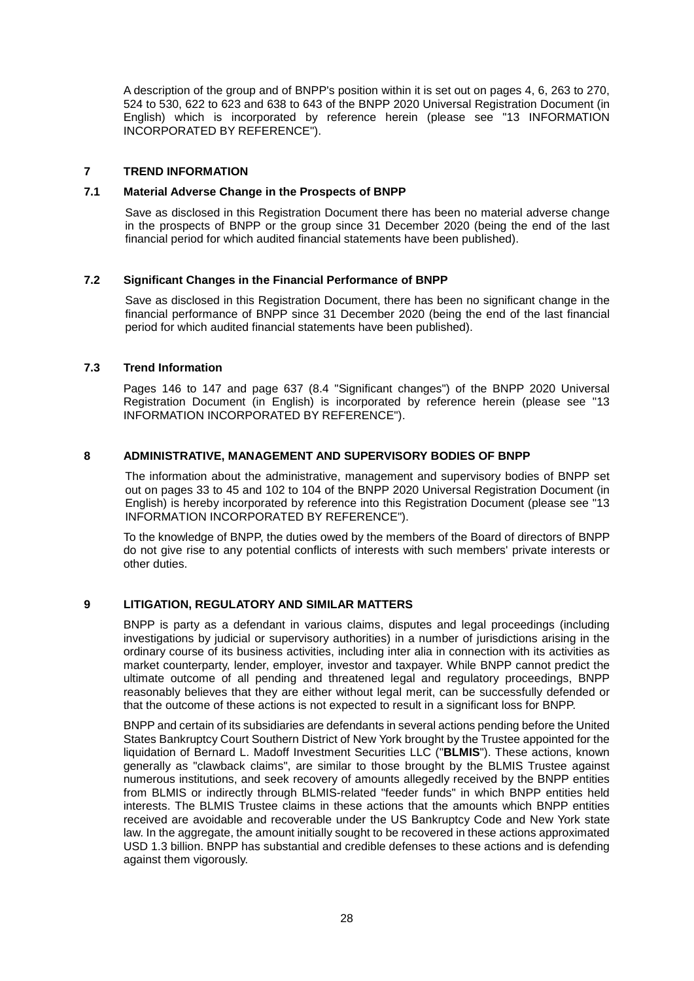A description of the group and of BNPP's position within it is set out on pages 4, 6, 263 to 270, 524 to 530, 622 to 623 and 638 to 643 of the BNPP 2020 Universal Registration Document (in English) which is incorporated by reference herein (please see "13 INFORMATION INCORPORATED BY REFERENCE").

### **7 TREND INFORMATION**

### **7.1 Material Adverse Change in the Prospects of BNPP**

Save as disclosed in this Registration Document there has been no material adverse change in the prospects of BNPP or the group since 31 December 2020 (being the end of the last financial period for which audited financial statements have been published).

### **7.2 Significant Changes in the Financial Performance of BNPP**

Save as disclosed in this Registration Document, there has been no significant change in the financial performance of BNPP since 31 December 2020 (being the end of the last financial period for which audited financial statements have been published).

### **7.3 Trend Information**

Pages 146 to 147 and page 637 (8.4 "Significant changes") of the BNPP 2020 Universal Registration Document (in English) is incorporated by reference herein (please see "13 INFORMATION INCORPORATED BY REFERENCE").

### **8 ADMINISTRATIVE, MANAGEMENT AND SUPERVISORY BODIES OF BNPP**

The information about the administrative, management and supervisory bodies of BNPP set out on pages 33 to 45 and 102 to 104 of the BNPP 2020 Universal Registration Document (in English) is hereby incorporated by reference into this Registration Document (please see "13 INFORMATION INCORPORATED BY REFERENCE").

To the knowledge of BNPP, the duties owed by the members of the Board of directors of BNPP do not give rise to any potential conflicts of interests with such members' private interests or other duties.

### **9 LITIGATION, REGULATORY AND SIMILAR MATTERS**

BNPP is party as a defendant in various claims, disputes and legal proceedings (including investigations by judicial or supervisory authorities) in a number of jurisdictions arising in the ordinary course of its business activities, including inter alia in connection with its activities as market counterparty, lender, employer, investor and taxpayer. While BNPP cannot predict the ultimate outcome of all pending and threatened legal and regulatory proceedings, BNPP reasonably believes that they are either without legal merit, can be successfully defended or that the outcome of these actions is not expected to result in a significant loss for BNPP.

BNPP and certain of its subsidiaries are defendants in several actions pending before the United States Bankruptcy Court Southern District of New York brought by the Trustee appointed for the liquidation of Bernard L. Madoff Investment Securities LLC ("**BLMIS**"). These actions, known generally as "clawback claims", are similar to those brought by the BLMIS Trustee against numerous institutions, and seek recovery of amounts allegedly received by the BNPP entities from BLMIS or indirectly through BLMIS-related "feeder funds" in which BNPP entities held interests. The BLMIS Trustee claims in these actions that the amounts which BNPP entities received are avoidable and recoverable under the US Bankruptcy Code and New York state law. In the aggregate, the amount initially sought to be recovered in these actions approximated USD 1.3 billion. BNPP has substantial and credible defenses to these actions and is defending against them vigorously.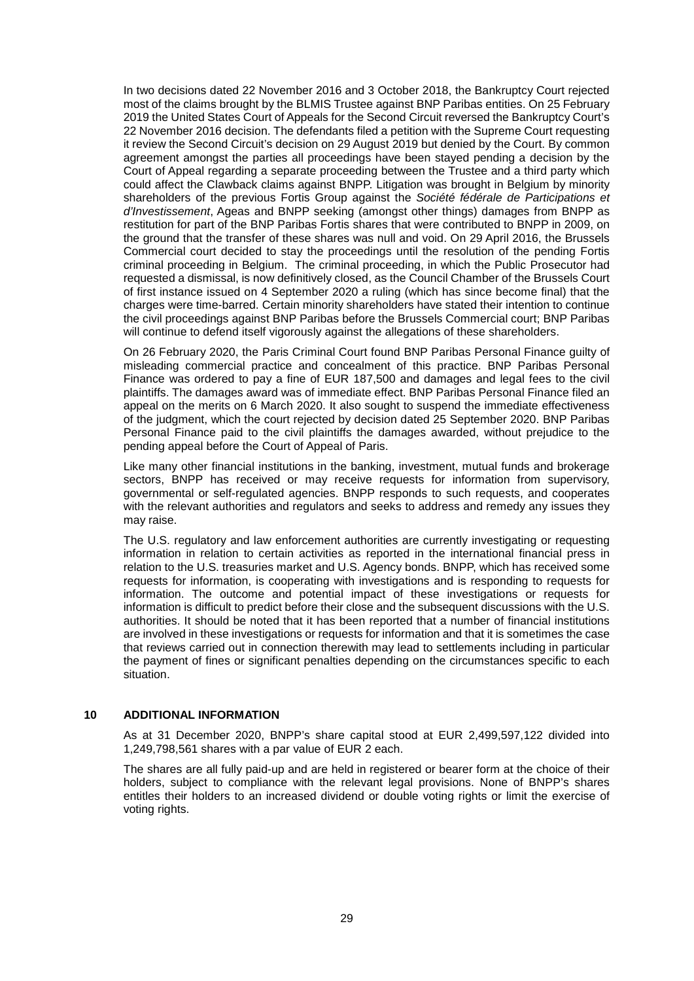In two decisions dated 22 November 2016 and 3 October 2018, the Bankruptcy Court rejected most of the claims brought by the BLMIS Trustee against BNP Paribas entities. On 25 February 2019 the United States Court of Appeals for the Second Circuit reversed the Bankruptcy Court's 22 November 2016 decision. The defendants filed a petition with the Supreme Court requesting it review the Second Circuit's decision on 29 August 2019 but denied by the Court. By common agreement amongst the parties all proceedings have been stayed pending a decision by the Court of Appeal regarding a separate proceeding between the Trustee and a third party which could affect the Clawback claims against BNPP. Litigation was brought in Belgium by minority shareholders of the previous Fortis Group against the *Société fédérale de Participations et d'Investissement*, Ageas and BNPP seeking (amongst other things) damages from BNPP as restitution for part of the BNP Paribas Fortis shares that were contributed to BNPP in 2009, on the ground that the transfer of these shares was null and void. On 29 April 2016, the Brussels Commercial court decided to stay the proceedings until the resolution of the pending Fortis criminal proceeding in Belgium. The criminal proceeding, in which the Public Prosecutor had requested a dismissal, is now definitively closed, as the Council Chamber of the Brussels Court of first instance issued on 4 September 2020 a ruling (which has since become final) that the charges were time-barred. Certain minority shareholders have stated their intention to continue the civil proceedings against BNP Paribas before the Brussels Commercial court; BNP Paribas will continue to defend itself vigorously against the allegations of these shareholders.

On 26 February 2020, the Paris Criminal Court found BNP Paribas Personal Finance guilty of misleading commercial practice and concealment of this practice. BNP Paribas Personal Finance was ordered to pay a fine of EUR 187,500 and damages and legal fees to the civil plaintiffs. The damages award was of immediate effect. BNP Paribas Personal Finance filed an appeal on the merits on 6 March 2020. It also sought to suspend the immediate effectiveness of the judgment, which the court rejected by decision dated 25 September 2020. BNP Paribas Personal Finance paid to the civil plaintiffs the damages awarded, without prejudice to the pending appeal before the Court of Appeal of Paris.

Like many other financial institutions in the banking, investment, mutual funds and brokerage sectors, BNPP has received or may receive requests for information from supervisory, governmental or self-regulated agencies. BNPP responds to such requests, and cooperates with the relevant authorities and regulators and seeks to address and remedy any issues they may raise.

The U.S. regulatory and law enforcement authorities are currently investigating or requesting information in relation to certain activities as reported in the international financial press in relation to the U.S. treasuries market and U.S. Agency bonds. BNPP, which has received some requests for information, is cooperating with investigations and is responding to requests for information. The outcome and potential impact of these investigations or requests for information is difficult to predict before their close and the subsequent discussions with the U.S. authorities. It should be noted that it has been reported that a number of financial institutions are involved in these investigations or requests for information and that it is sometimes the case that reviews carried out in connection therewith may lead to settlements including in particular the payment of fines or significant penalties depending on the circumstances specific to each situation.

### **10 ADDITIONAL INFORMATION**

As at 31 December 2020, BNPP's share capital stood at EUR 2,499,597,122 divided into 1,249,798,561 shares with a par value of EUR 2 each.

The shares are all fully paid-up and are held in registered or bearer form at the choice of their holders, subject to compliance with the relevant legal provisions. None of BNPP's shares entitles their holders to an increased dividend or double voting rights or limit the exercise of voting rights.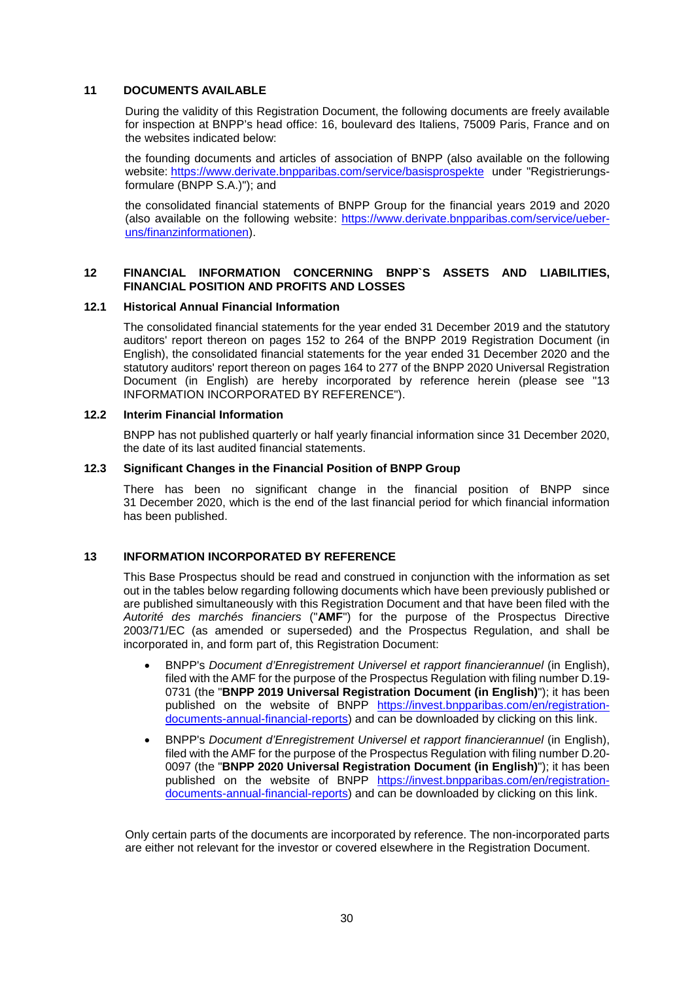### **11 DOCUMENTS AVAILABLE**

During the validity of this Registration Document, the following documents are freely available for inspection at BNPP's head office: 16, boulevard des Italiens, 75009 Paris, France and on the websites indicated below:

the founding documents and articles of association of BNPP (also available on the following website: https://www.derivate.bnpparibas.com/service/basisprospekte under "Registrierungsformulare (BNPP S.A.)"); and

the consolidated financial statements of BNPP Group for the financial years 2019 and 2020 (also available on the following website: https://www.derivate.bnpparibas.com/service/ueberuns/finanzinformationen).

### **12 FINANCIAL INFORMATION CONCERNING BNPP`S ASSETS AND LIABILITIES, FINANCIAL POSITION AND PROFITS AND LOSSES**

### **12.1 Historical Annual Financial Information**

The consolidated financial statements for the year ended 31 December 2019 and the statutory auditors' report thereon on pages 152 to 264 of the BNPP 2019 Registration Document (in English), the consolidated financial statements for the year ended 31 December 2020 and the statutory auditors' report thereon on pages 164 to 277 of the BNPP 2020 Universal Registration Document (in English) are hereby incorporated by reference herein (please see "13 INFORMATION INCORPORATED BY REFERENCE").

### **12.2 Interim Financial Information**

BNPP has not published quarterly or half yearly financial information since 31 December 2020, the date of its last audited financial statements.

### **12.3 Significant Changes in the Financial Position of BNPP Group**

There has been no significant change in the financial position of BNPP since 31 December 2020, which is the end of the last financial period for which financial information has been published.

### **13 INFORMATION INCORPORATED BY REFERENCE**

This Base Prospectus should be read and construed in conjunction with the information as set out in the tables below regarding following documents which have been previously published or are published simultaneously with this Registration Document and that have been filed with the *Autorité des marchés financiers* ("**AMF**") for the purpose of the Prospectus Directive 2003/71/EC (as amended or superseded) and the Prospectus Regulation, and shall be incorporated in, and form part of, this Registration Document:

- BNPP's *Document d'Enregistrement Universel et rapport financierannuel* (in English), filed with the AMF for the purpose of the Prospectus Regulation with filing number D.19- 0731 (the "**BNPP 2019 Universal Registration Document (in English)**"); it has been published on the website of BNPP https://invest.bnpparibas.com/en/registrationdocuments-annual-financial-reports) and can be downloaded by clicking on this link.
- BNPP's *Document d'Enregistrement Universel et rapport financierannuel* (in English), filed with the AMF for the purpose of the Prospectus Regulation with filing number D.20- 0097 (the "**BNPP 2020 Universal Registration Document (in English)**"); it has been published on the website of BNPP https://invest.bnpparibas.com/en/registrationdocuments-annual-financial-reports) and can be downloaded by clicking on this link.

Only certain parts of the documents are incorporated by reference. The non-incorporated parts are either not relevant for the investor or covered elsewhere in the Registration Document.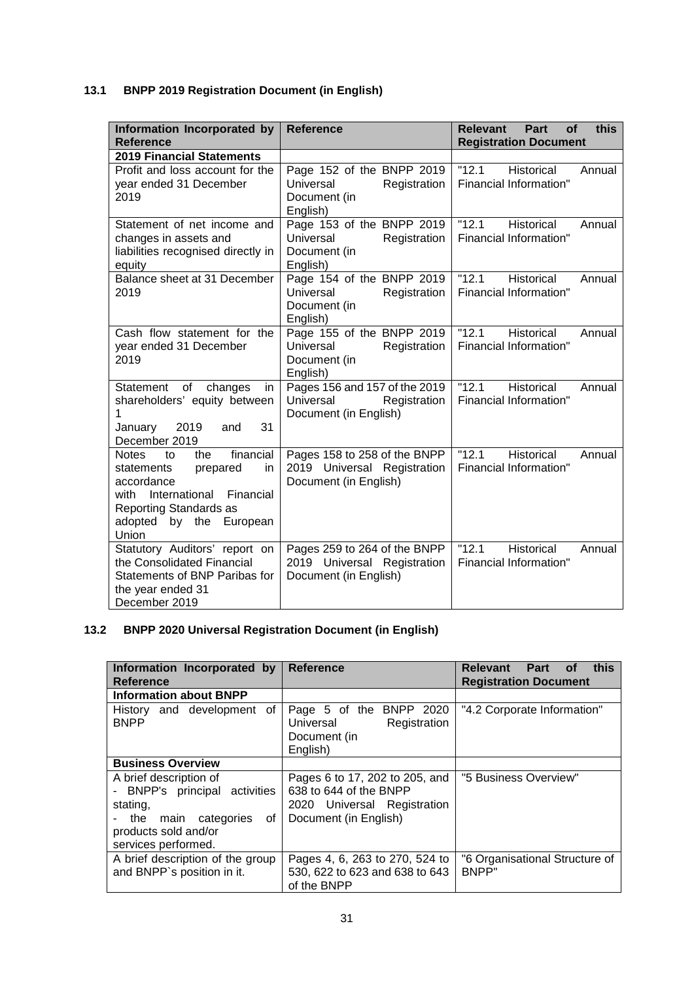# **13.1 BNPP 2019 Registration Document (in English)**

| Information Incorporated by<br><b>Reference</b>                                                                                                                                             | <b>Reference</b>                                                                     | this<br>Relevant<br>Part<br><b>of</b><br><b>Registration Document</b> |
|---------------------------------------------------------------------------------------------------------------------------------------------------------------------------------------------|--------------------------------------------------------------------------------------|-----------------------------------------------------------------------|
| <b>2019 Financial Statements</b>                                                                                                                                                            |                                                                                      |                                                                       |
| Profit and loss account for the<br>year ended 31 December<br>2019                                                                                                                           | Page 152 of the BNPP 2019<br>Universal<br>Registration<br>Document (in<br>English)   | "12.1"<br>Historical<br>Annual<br>Financial Information"              |
| Statement of net income and<br>changes in assets and<br>liabilities recognised directly in<br>equity                                                                                        | Page 153 of the BNPP 2019<br>Universal<br>Registration<br>Document (in<br>English)   | "12.1"<br>Historical<br>Annual<br>Financial Information"              |
| Balance sheet at 31 December<br>2019                                                                                                                                                        | Page 154 of the BNPP 2019<br>Universal<br>Registration<br>Document (in<br>English)   | "12.1"<br><b>Historical</b><br>Annual<br>Financial Information"       |
| Cash flow statement for the<br>year ended 31 December<br>2019                                                                                                                               | Page 155 of the BNPP 2019<br>Universal<br>Registration<br>Document (in<br>English)   | "12.1"<br>Historical<br>Annual<br>Financial Information"              |
| of<br>Statement<br>changes<br>in<br>shareholders' equity between<br>2019<br>31<br>January<br>and<br>December 2019                                                                           | Pages 156 and 157 of the 2019<br>Universal<br>Registration<br>Document (in English)  | "12.1"<br><b>Historical</b><br>Annual<br>Financial Information"       |
| financial<br><b>Notes</b><br>the<br>to<br>prepared<br>in<br>statements<br>accordance<br>International<br>Financial<br>with<br>Reporting Standards as<br>adopted<br>by the European<br>Union | Pages 158 to 258 of the BNPP<br>2019 Universal Registration<br>Document (in English) | "12.1"<br>Historical<br>Annual<br>Financial Information"              |
| Statutory Auditors' report on<br>the Consolidated Financial<br>Statements of BNP Paribas for<br>the year ended 31<br>December 2019                                                          | Pages 259 to 264 of the BNPP<br>2019 Universal Registration<br>Document (in English) | "12.1"<br>Historical<br>Annual<br>Financial Information"              |

# **13.2 BNPP 2020 Universal Registration Document (in English)**

| Information Incorporated by<br><b>Reference</b>                                                                                                    | <b>Reference</b>                                                                                                 | Relevant Part of<br>this<br><b>Registration Document</b> |
|----------------------------------------------------------------------------------------------------------------------------------------------------|------------------------------------------------------------------------------------------------------------------|----------------------------------------------------------|
| <b>Information about BNPP</b>                                                                                                                      |                                                                                                                  |                                                          |
| History and development of<br><b>BNPP</b>                                                                                                          | Page 5 of the BNPP 2020<br>Universal<br>Registration<br>Document (in<br>English)                                 | "4.2 Corporate Information"                              |
| <b>Business Overview</b>                                                                                                                           |                                                                                                                  |                                                          |
| A brief description of<br>- BNPP's principal activities<br>stating,<br>οf<br>main categories<br>the<br>products sold and/or<br>services performed. | Pages 6 to 17, 202 to 205, and<br>638 to 644 of the BNPP<br>2020 Universal Registration<br>Document (in English) | "5 Business Overview"                                    |
| A brief description of the group<br>and BNPP's position in it.                                                                                     | Pages 4, 6, 263 to 270, 524 to<br>530, 622 to 623 and 638 to 643<br>of the BNPP                                  | "6 Organisational Structure of<br>BNPP"                  |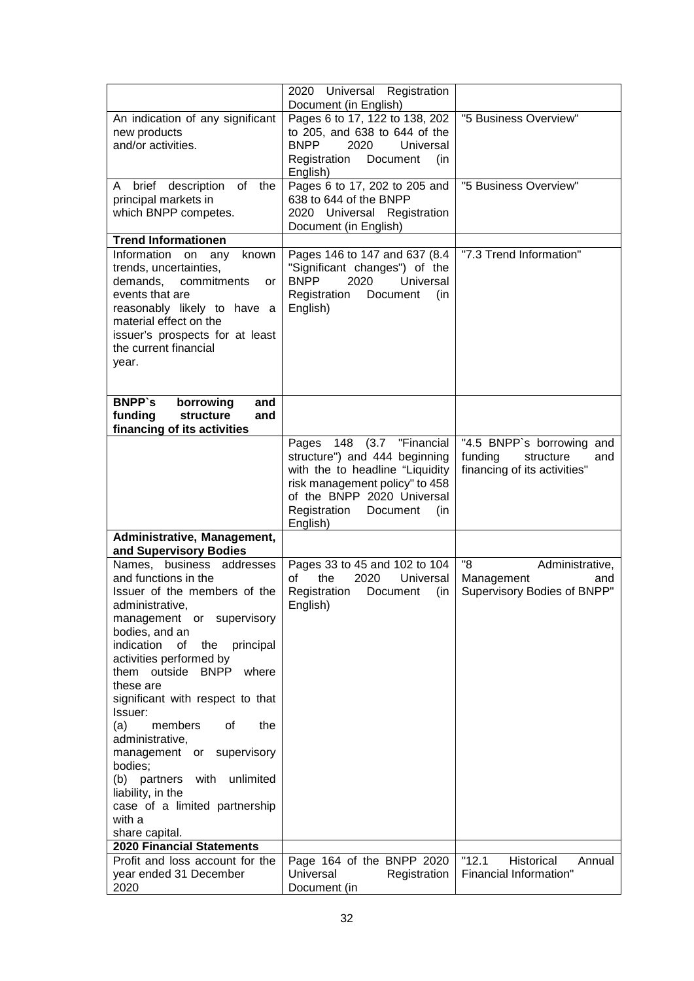|                                                           | 2020 Universal Registration<br>Document (in English)                          |                                |
|-----------------------------------------------------------|-------------------------------------------------------------------------------|--------------------------------|
| An indication of any significant                          | Pages 6 to 17, 122 to 138, 202                                                | "5 Business Overview"          |
| new products                                              | to 205, and 638 to 644 of the                                                 |                                |
| and/or activities.                                        | <b>BNPP</b><br>2020<br>Universal<br>Registration<br>Document<br>(in           |                                |
|                                                           | English)                                                                      |                                |
| description of the<br>A brief                             | Pages 6 to 17, 202 to 205 and<br>638 to 644 of the BNPP                       | "5 Business Overview"          |
| principal markets in<br>which BNPP competes.              | 2020 Universal Registration                                                   |                                |
|                                                           | Document (in English)                                                         |                                |
| <b>Trend Informationen</b>                                |                                                                               |                                |
| Information on<br>known<br>any<br>trends, uncertainties,  | Pages 146 to 147 and 637 (8.4<br>"Significant changes") of the                | "7.3 Trend Information"        |
| demands,<br>commitments<br>or                             | <b>BNPP</b><br>2020<br>Universal                                              |                                |
| events that are                                           | Registration<br>Document<br>(in                                               |                                |
| reasonably likely to have a                               | English)                                                                      |                                |
| material effect on the<br>issuer's prospects for at least |                                                                               |                                |
| the current financial                                     |                                                                               |                                |
| year.                                                     |                                                                               |                                |
|                                                           |                                                                               |                                |
| <b>BNPP's</b><br>borrowing<br>and                         |                                                                               |                                |
| funding<br>structure<br>and                               |                                                                               |                                |
| financing of its activities                               | Pages 148 (3.7 "Financial                                                     | "4.5 BNPP's borrowing and      |
|                                                           | structure") and 444 beginning                                                 | funding<br>structure<br>and    |
|                                                           | with the to headline "Liquidity                                               | financing of its activities"   |
|                                                           | risk management policy" to 458<br>of the BNPP 2020 Universal                  |                                |
|                                                           | Registration<br>(in<br>Document                                               |                                |
|                                                           | English)                                                                      |                                |
| Administrative, Management,<br>and Supervisory Bodies     |                                                                               |                                |
| Names, business addresses                                 | Pages 33 to 45 and 102 to 104                                                 | "8<br>Administrative,          |
| and functions in the                                      | the<br>2020<br>Universal<br>of                                                | Management<br>and              |
| Issuer of the members of the<br>administrative,           | Registration<br>Document<br>(in<br>English)                                   | Supervisory Bodies of BNPP"    |
| management or supervisory                                 |                                                                               |                                |
| bodies, and an                                            |                                                                               |                                |
| indication<br>of<br>the<br>principal                      |                                                                               |                                |
| activities performed by<br>them outside BNPP where        |                                                                               |                                |
| these are                                                 |                                                                               |                                |
| significant with respect to that                          |                                                                               |                                |
| Issuer:<br>the<br>(a)<br>members<br>οf                    |                                                                               |                                |
| administrative,                                           |                                                                               |                                |
| management or supervisory                                 |                                                                               |                                |
| bodies;                                                   |                                                                               |                                |
| unlimited<br>(b) partners<br>with<br>liability, in the    |                                                                               |                                |
| case of a limited partnership                             |                                                                               |                                |
| with a                                                    |                                                                               |                                |
| share capital.<br><b>2020 Financial Statements</b>        |                                                                               |                                |
| Profit and loss account for the                           |                                                                               |                                |
|                                                           |                                                                               | "12.1"<br>Historical<br>Annual |
| year ended 31 December<br>2020                            | Page 164 of the BNPP 2020<br><b>Universal</b><br>Registration<br>Document (in | Financial Information"         |